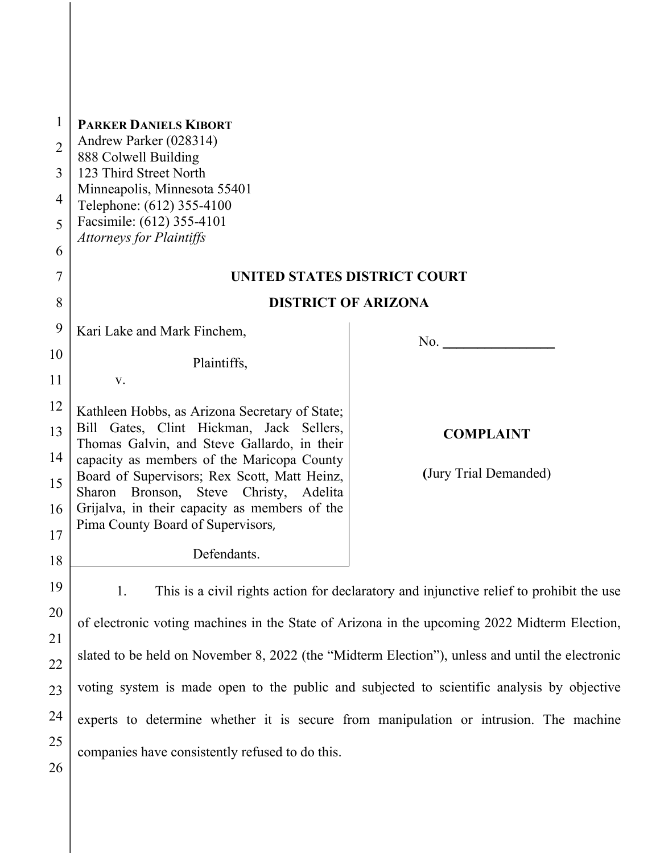| 1              | <b>PARKER DANIELS KIBORT</b>                                                                    |                                            |  |  |
|----------------|-------------------------------------------------------------------------------------------------|--------------------------------------------|--|--|
| $\overline{2}$ | Andrew Parker (028314)<br>888 Colwell Building                                                  |                                            |  |  |
| 3              | 123 Third Street North                                                                          |                                            |  |  |
| 4              | Minneapolis, Minnesota 55401<br>Telephone: (612) 355-4100                                       |                                            |  |  |
| 5              | Facsimile: (612) 355-4101                                                                       |                                            |  |  |
| 6              | <b>Attorneys for Plaintiffs</b>                                                                 |                                            |  |  |
| 7              | UNITED STATES DISTRICT COURT                                                                    |                                            |  |  |
| 8              | <b>DISTRICT OF ARIZONA</b>                                                                      |                                            |  |  |
| 9              | Kari Lake and Mark Finchem,                                                                     |                                            |  |  |
| 10             | Plaintiffs,                                                                                     | No. $\qquad \qquad \boxed{\qquad \qquad }$ |  |  |
| 11             | V.                                                                                              |                                            |  |  |
| 12             | Kathleen Hobbs, as Arizona Secretary of State;                                                  |                                            |  |  |
| 13             | Bill Gates, Clint Hickman, Jack Sellers,                                                        | <b>COMPLAINT</b>                           |  |  |
| 14             | Thomas Galvin, and Steve Gallardo, in their<br>capacity as members of the Maricopa County       |                                            |  |  |
| 15             | Board of Supervisors; Rex Scott, Matt Heinz,<br>Sharon Bronson, Steve Christy, Adelita          | (Jury Trial Demanded)                      |  |  |
| 16             | Grijalva, in their capacity as members of the                                                   |                                            |  |  |
| 17             | Pima County Board of Supervisors,                                                               |                                            |  |  |
| 18             | Defendants.                                                                                     |                                            |  |  |
| 19             | This is a civil rights action for declaratory and injunctive relief to prohibit the use<br>1.   |                                            |  |  |
| 20             |                                                                                                 |                                            |  |  |
| 21             | of electronic voting machines in the State of Arizona in the upcoming 2022 Midterm Election,    |                                            |  |  |
| 22             | slated to be held on November 8, 2022 (the "Midterm Election"), unless and until the electronic |                                            |  |  |
| 23             | voting system is made open to the public and subjected to scientific analysis by objective      |                                            |  |  |
| 24             | experts to determine whether it is secure from manipulation or intrusion. The machine           |                                            |  |  |
| 25             | companies have consistently refused to do this.                                                 |                                            |  |  |
| 26             |                                                                                                 |                                            |  |  |

 $\mathbf l$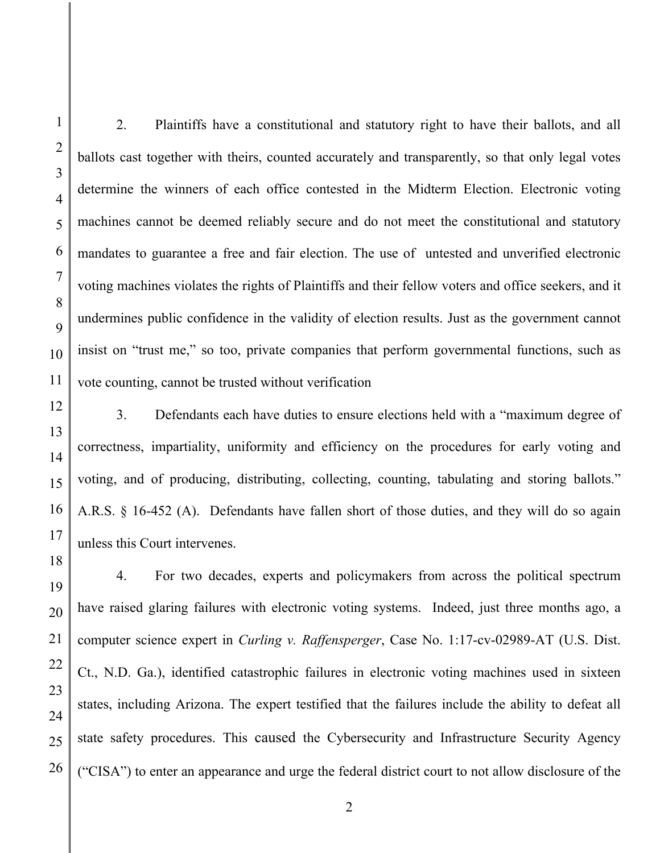2. Plaintiffs have a constitutional and statutory right to have their ballots, and all ballots cast together with theirs, counted accurately and transparently, so that only legal votes determine the winners of each office contested in the Midterm Election. Electronic voting machines cannot be deemed reliably secure and do not meet the constitutional and statutory mandates to guarantee a free and fair election. The use of untested and unverified electronic voting machines violates the rights of Plaintiffs and their fellow voters and office seekers, and it undermines public confidence in the validity of election results. Just as the government cannot insist on "trust me," so too, private companies that perform governmental functions, such as vote counting, cannot be trusted without verification

3. Defendants each have duties to ensure elections held with a "maximum degree of correctness, impartiality, uniformity and efficiency on the procedures for early voting and voting, and of producing, distributing, collecting, counting, tabulating and storing ballots." A.R.S. § 16-452 (A). Defendants have fallen short of those duties, and they will do so again unless this Court intervenes.

4. For two decades, experts and policymakers from across the political spectrum have raised glaring failures with electronic voting systems. Indeed, just three months ago, a computer science expert in *Curling v. Raffensperger*, Case No. 1:17-cv-02989-AT (U.S. Dist. Ct., N.D. Ga.), identified catastrophic failures in electronic voting machines used in sixteen states, including Arizona. The expert testified that the failures include the ability to defeat all state safety procedures. This caused the Cybersecurity and Infrastructure Security Agency ("CISA") to enter an appearance and urge the federal district court to not allow disclosure of the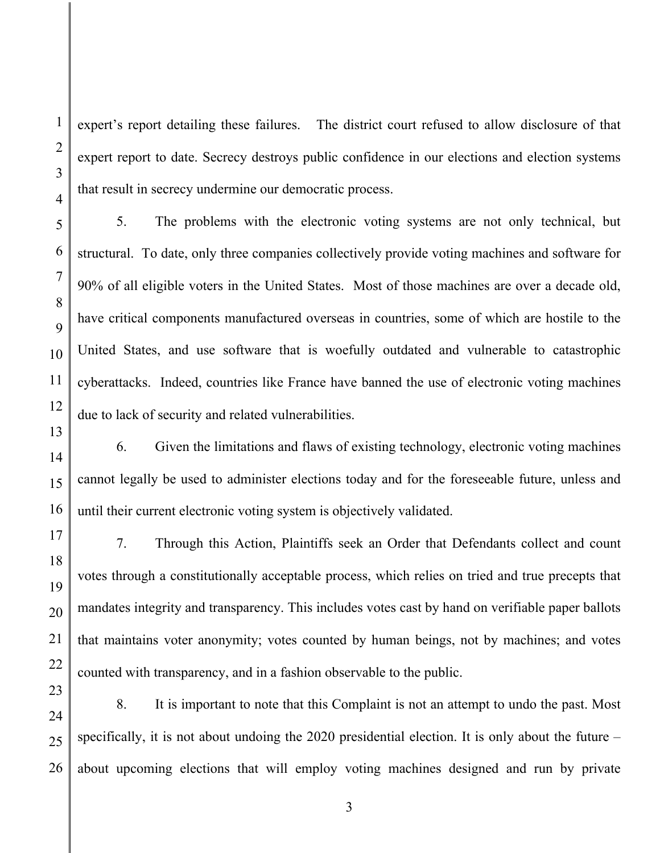expert's report detailing these failures. The district court refused to allow disclosure of that expert report to date. Secrecy destroys public confidence in our elections and election systems that result in secrecy undermine our democratic process.

5. The problems with the electronic voting systems are not only technical, but structural. To date, only three companies collectively provide voting machines and software for 90% of all eligible voters in the United States. Most of those machines are over a decade old, have critical components manufactured overseas in countries, some of which are hostile to the United States, and use software that is woefully outdated and vulnerable to catastrophic cyberattacks. Indeed, countries like France have banned the use of electronic voting machines due to lack of security and related vulnerabilities.

6. Given the limitations and flaws of existing technology, electronic voting machines cannot legally be used to administer elections today and for the foreseeable future, unless and until their current electronic voting system is objectively validated.

7. Through this Action, Plaintiffs seek an Order that Defendants collect and count votes through a constitutionally acceptable process, which relies on tried and true precepts that mandates integrity and transparency. This includes votes cast by hand on verifiable paper ballots that maintains voter anonymity; votes counted by human beings, not by machines; and votes counted with transparency, and in a fashion observable to the public.

8. It is important to note that this Complaint is not an attempt to undo the past. Most specifically, it is not about undoing the 2020 presidential election. It is only about the future – about upcoming elections that will employ voting machines designed and run by private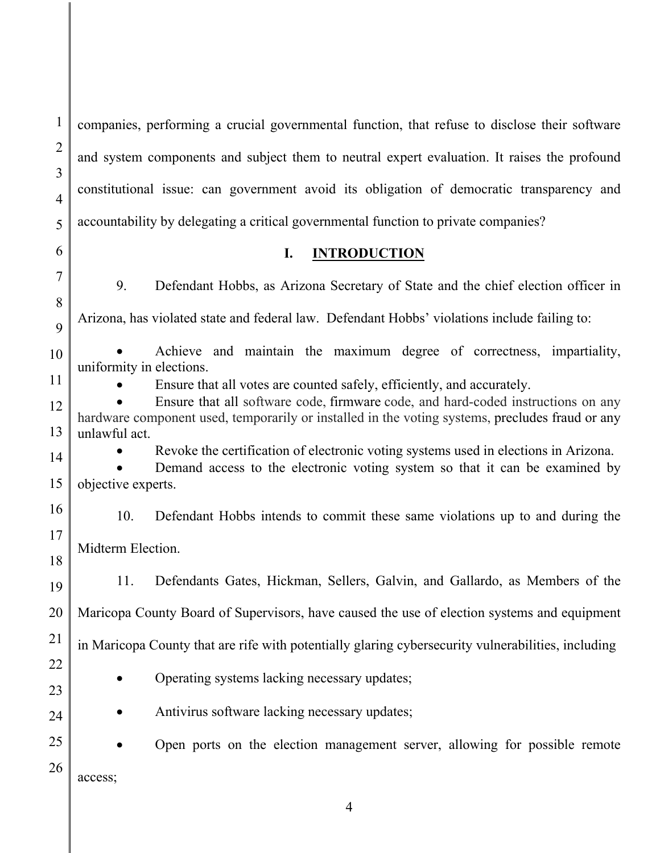companies, performing a crucial governmental function, that refuse to disclose their software and system components and subject them to neutral expert evaluation. It raises the profound constitutional issue: can government avoid its obligation of democratic transparency and accountability by delegating a critical governmental function to private companies?

1

#### **I. INTRODUCTION**

9. Defendant Hobbs, as Arizona Secretary of State and the chief election officer in Arizona, has violated state and federal law. Defendant Hobbs' violations include failing to:

 Achieve and maintain the maximum degree of correctness, impartiality, uniformity in elections.

Ensure that all votes are counted safely, efficiently, and accurately.

 Ensure that all software code, firmware code, and hard-coded instructions on any hardware component used, temporarily or installed in the voting systems, precludes fraud or any unlawful act.

Revoke the certification of electronic voting systems used in elections in Arizona.

 Demand access to the electronic voting system so that it can be examined by objective experts.

10. Defendant Hobbs intends to commit these same violations up to and during the Midterm Election.

11. Defendants Gates, Hickman, Sellers, Galvin, and Gallardo, as Members of the Maricopa County Board of Supervisors, have caused the use of election systems and equipment in Maricopa County that are rife with potentially glaring cybersecurity vulnerabilities, including

• Operating systems lacking necessary updates;

• Antivirus software lacking necessary updates;

 Open ports on the election management server, allowing for possible remote access;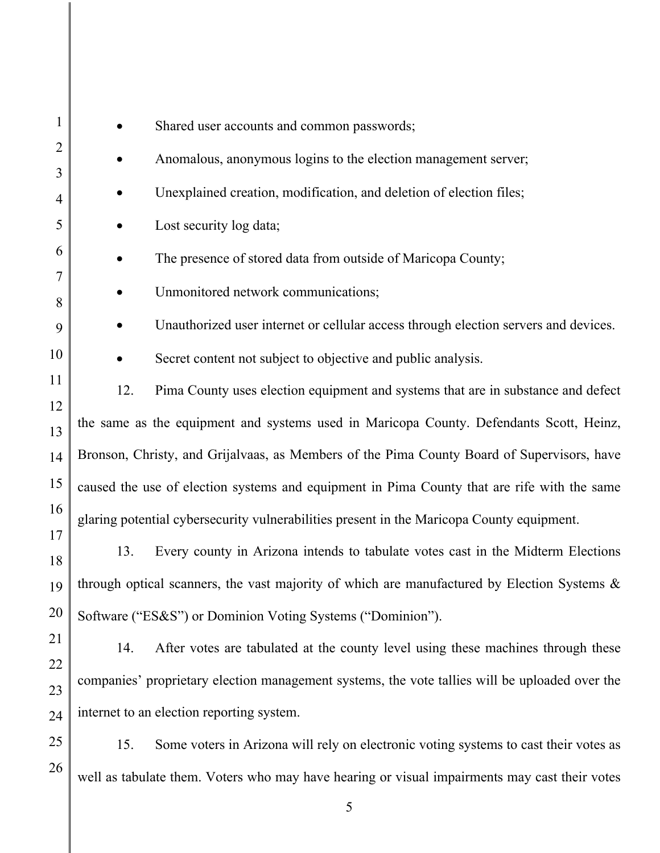| $\mathbf{1}$   | Shared user accounts and common passwords;                                                     |                                                                                               |  |
|----------------|------------------------------------------------------------------------------------------------|-----------------------------------------------------------------------------------------------|--|
| $\overline{2}$ | Anomalous, anonymous logins to the election management server;                                 |                                                                                               |  |
| 3              |                                                                                                |                                                                                               |  |
| 4              |                                                                                                | Unexplained creation, modification, and deletion of election files;                           |  |
| 5              |                                                                                                | Lost security log data;                                                                       |  |
| 6              |                                                                                                | The presence of stored data from outside of Maricopa County;                                  |  |
| 7<br>8         |                                                                                                | Unmonitored network communications;                                                           |  |
| 9              |                                                                                                | Unauthorized user internet or cellular access through election servers and devices.           |  |
| 10             |                                                                                                | Secret content not subject to objective and public analysis.                                  |  |
| 11             | 12.                                                                                            | Pima County uses election equipment and systems that are in substance and defect              |  |
| 12<br>13       | the same as the equipment and systems used in Maricopa County. Defendants Scott, Heinz,        |                                                                                               |  |
| 14             | Bronson, Christy, and Grijalvaas, as Members of the Pima County Board of Supervisors, have     |                                                                                               |  |
| 15             | caused the use of election systems and equipment in Pima County that are rife with the same    |                                                                                               |  |
| 16             | glaring potential cybersecurity vulnerabilities present in the Maricopa County equipment.      |                                                                                               |  |
| 17<br>18       | 13.                                                                                            | Every county in Arizona intends to tabulate votes cast in the Midterm Elections               |  |
| 19             | through optical scanners, the vast majority of which are manufactured by Election Systems &    |                                                                                               |  |
| 20             | Software ("ES&S") or Dominion Voting Systems ("Dominion").                                     |                                                                                               |  |
| 21             | 14.                                                                                            | After votes are tabulated at the county level using these machines through these              |  |
| 22<br>23       | companies' proprietary election management systems, the vote tallies will be uploaded over the |                                                                                               |  |
| 24             | internet to an election reporting system.                                                      |                                                                                               |  |
| 25             | 15.                                                                                            | Some voters in Arizona will rely on electronic voting systems to cast their votes as          |  |
| 26             |                                                                                                | well as tabulate them. Voters who may have hearing or visual impairments may cast their votes |  |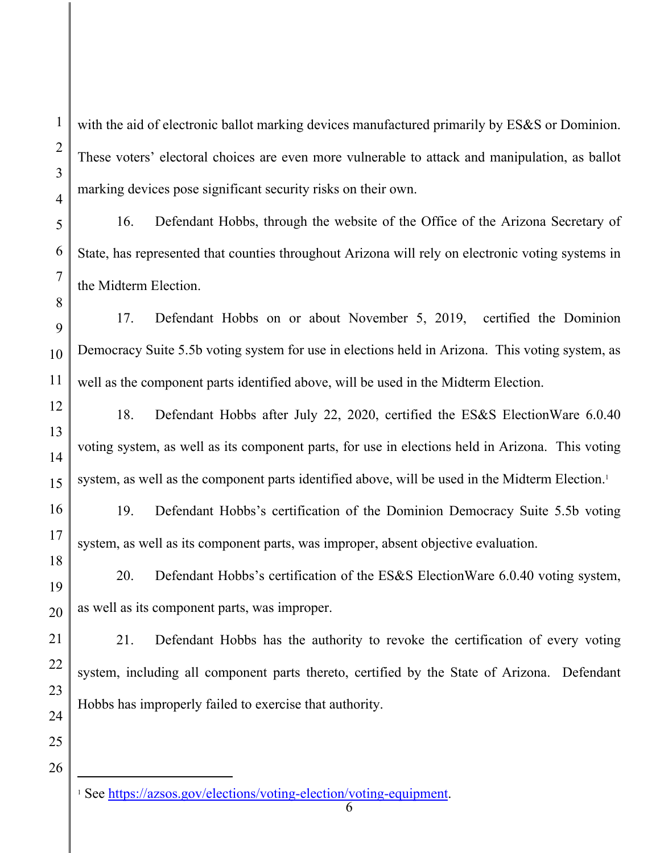with the aid of electronic ballot marking devices manufactured primarily by ES&S or Dominion. These voters' electoral choices are even more vulnerable to attack and manipulation, as ballot marking devices pose significant security risks on their own.

16. Defendant Hobbs, through the website of the Office of the Arizona Secretary of State, has represented that counties throughout Arizona will rely on electronic voting systems in the Midterm Election.

17. Defendant Hobbs on or about November 5, 2019, certified the Dominion Democracy Suite 5.5b voting system for use in elections held in Arizona. This voting system, as well as the component parts identified above, will be used in the Midterm Election.

18. Defendant Hobbs after July 22, 2020, certified the ES&S ElectionWare 6.0.40 voting system, as well as its component parts, for use in elections held in Arizona. This voting system, as well as the component parts identified above, will be used in the Midterm Election.<sup>1</sup>

19. Defendant Hobbs's certification of the Dominion Democracy Suite 5.5b voting system, as well as its component parts, was improper, absent objective evaluation.

20. Defendant Hobbs's certification of the ES&S ElectionWare 6.0.40 voting system, as well as its component parts, was improper.

21. Defendant Hobbs has the authority to revoke the certification of every voting system, including all component parts thereto, certified by the State of Arizona. Defendant Hobbs has improperly failed to exercise that authority.

26

1

2

3

4

5

6

7

8

9

10

11

12

13

14

15

16

17

18

19

20

21

22

23

24

<sup>&</sup>lt;sup>1</sup> See https://azsos.gov/elections/voting-election/voting-equipment.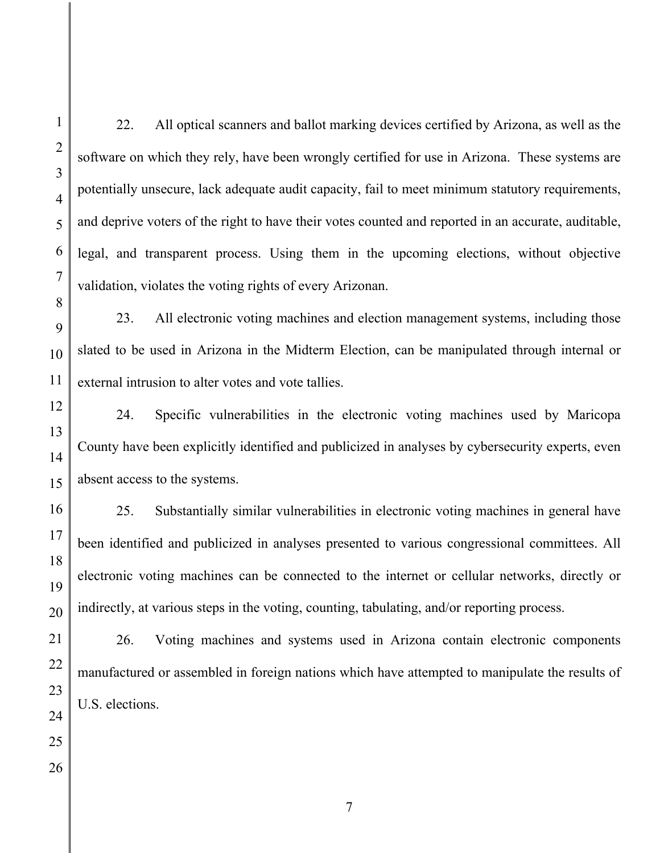2

3

4

22. All optical scanners and ballot marking devices certified by Arizona, as well as the software on which they rely, have been wrongly certified for use in Arizona. These systems are potentially unsecure, lack adequate audit capacity, fail to meet minimum statutory requirements, and deprive voters of the right to have their votes counted and reported in an accurate, auditable, legal, and transparent process. Using them in the upcoming elections, without objective validation, violates the voting rights of every Arizonan.

23. All electronic voting machines and election management systems, including those slated to be used in Arizona in the Midterm Election, can be manipulated through internal or external intrusion to alter votes and vote tallies.

24. Specific vulnerabilities in the electronic voting machines used by Maricopa County have been explicitly identified and publicized in analyses by cybersecurity experts, even absent access to the systems.

25. Substantially similar vulnerabilities in electronic voting machines in general have been identified and publicized in analyses presented to various congressional committees. All electronic voting machines can be connected to the internet or cellular networks, directly or indirectly, at various steps in the voting, counting, tabulating, and/or reporting process.

26. Voting machines and systems used in Arizona contain electronic components manufactured or assembled in foreign nations which have attempted to manipulate the results of U.S. elections.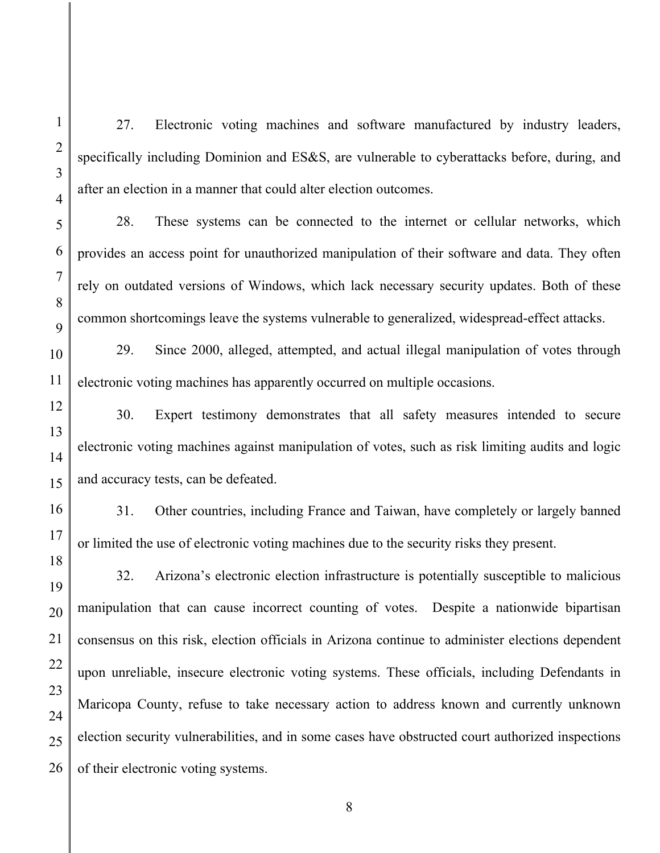27. Electronic voting machines and software manufactured by industry leaders, specifically including Dominion and ES&S, are vulnerable to cyberattacks before, during, and after an election in a manner that could alter election outcomes.

28. These systems can be connected to the internet or cellular networks, which provides an access point for unauthorized manipulation of their software and data. They often rely on outdated versions of Windows, which lack necessary security updates. Both of these common shortcomings leave the systems vulnerable to generalized, widespread-effect attacks.

29. Since 2000, alleged, attempted, and actual illegal manipulation of votes through electronic voting machines has apparently occurred on multiple occasions.

30. Expert testimony demonstrates that all safety measures intended to secure electronic voting machines against manipulation of votes, such as risk limiting audits and logic and accuracy tests, can be defeated.

31. Other countries, including France and Taiwan, have completely or largely banned or limited the use of electronic voting machines due to the security risks they present.

32. Arizona's electronic election infrastructure is potentially susceptible to malicious manipulation that can cause incorrect counting of votes. Despite a nationwide bipartisan consensus on this risk, election officials in Arizona continue to administer elections dependent upon unreliable, insecure electronic voting systems. These officials, including Defendants in Maricopa County, refuse to take necessary action to address known and currently unknown election security vulnerabilities, and in some cases have obstructed court authorized inspections of their electronic voting systems.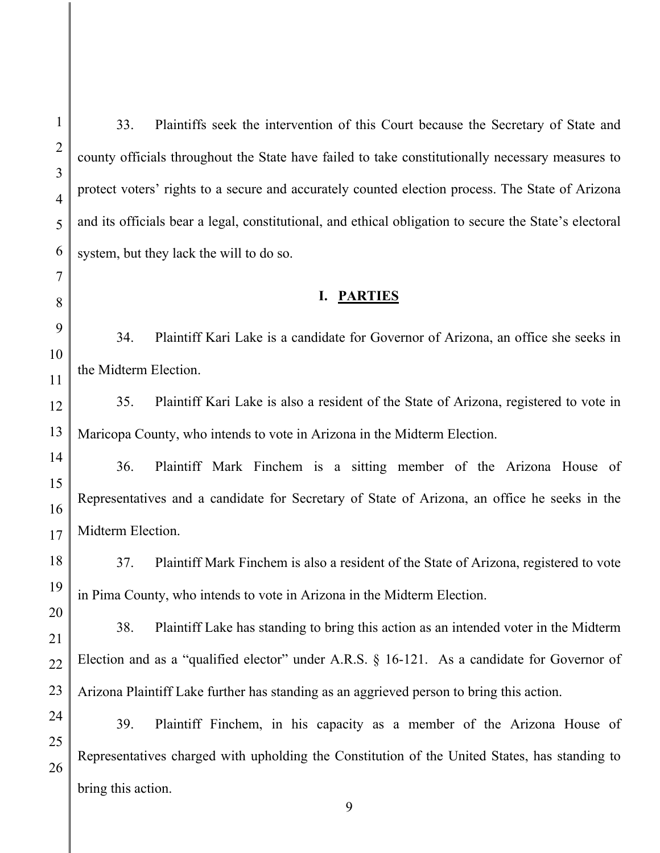33. Plaintiffs seek the intervention of this Court because the Secretary of State and county officials throughout the State have failed to take constitutionally necessary measures to protect voters' rights to a secure and accurately counted election process. The State of Arizona and its officials bear a legal, constitutional, and ethical obligation to secure the State's electoral system, but they lack the will to do so.

### **I. PARTIES**

34. Plaintiff Kari Lake is a candidate for Governor of Arizona, an office she seeks in the Midterm Election.

35. Plaintiff Kari Lake is also a resident of the State of Arizona, registered to vote in Maricopa County, who intends to vote in Arizona in the Midterm Election.

36. Plaintiff Mark Finchem is a sitting member of the Arizona House of Representatives and a candidate for Secretary of State of Arizona, an office he seeks in the Midterm Election.

37. Plaintiff Mark Finchem is also a resident of the State of Arizona, registered to vote in Pima County, who intends to vote in Arizona in the Midterm Election.

38. Plaintiff Lake has standing to bring this action as an intended voter in the Midterm Election and as a "qualified elector" under A.R.S. § 16-121. As a candidate for Governor of Arizona Plaintiff Lake further has standing as an aggrieved person to bring this action.

39. Plaintiff Finchem, in his capacity as a member of the Arizona House of Representatives charged with upholding the Constitution of the United States, has standing to bring this action.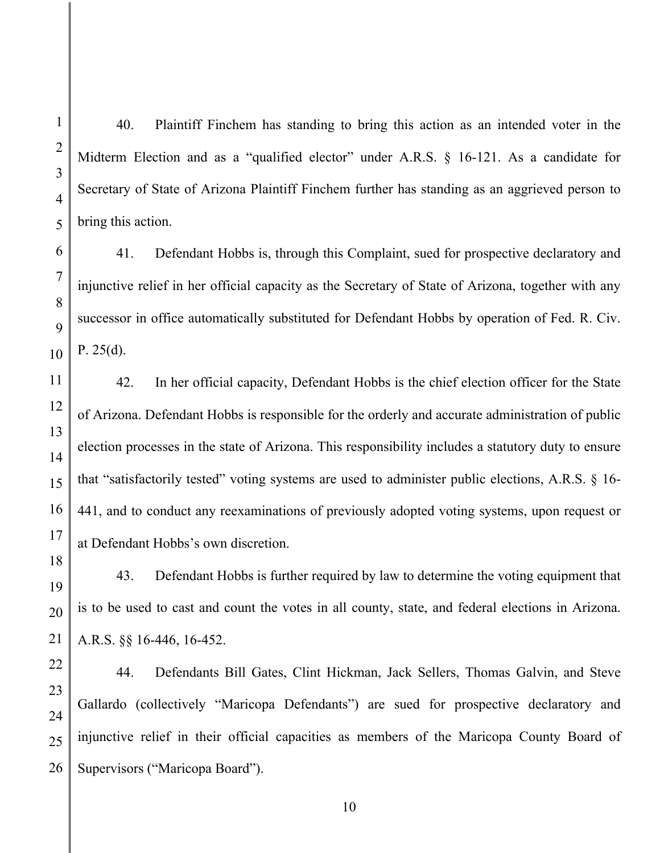40. Plaintiff Finchem has standing to bring this action as an intended voter in the Midterm Election and as a "qualified elector" under A.R.S. § 16-121. As a candidate for Secretary of State of Arizona Plaintiff Finchem further has standing as an aggrieved person to bring this action.

41. Defendant Hobbs is, through this Complaint, sued for prospective declaratory and injunctive relief in her official capacity as the Secretary of State of Arizona, together with any successor in office automatically substituted for Defendant Hobbs by operation of Fed. R. Civ. P. 25(d).

42. In her official capacity, Defendant Hobbs is the chief election officer for the State of Arizona. Defendant Hobbs is responsible for the orderly and accurate administration of public election processes in the state of Arizona. This responsibility includes a statutory duty to ensure that "satisfactorily tested" voting systems are used to administer public elections, A.R.S. § 16- 441, and to conduct any reexaminations of previously adopted voting systems, upon request or at Defendant Hobbs's own discretion.

43. Defendant Hobbs is further required by law to determine the voting equipment that is to be used to cast and count the votes in all county, state, and federal elections in Arizona. A.R.S. §§ 16-446, 16-452.

44. Defendants Bill Gates, Clint Hickman, Jack Sellers, Thomas Galvin, and Steve Gallardo (collectively "Maricopa Defendants") are sued for prospective declaratory and injunctive relief in their official capacities as members of the Maricopa County Board of Supervisors ("Maricopa Board").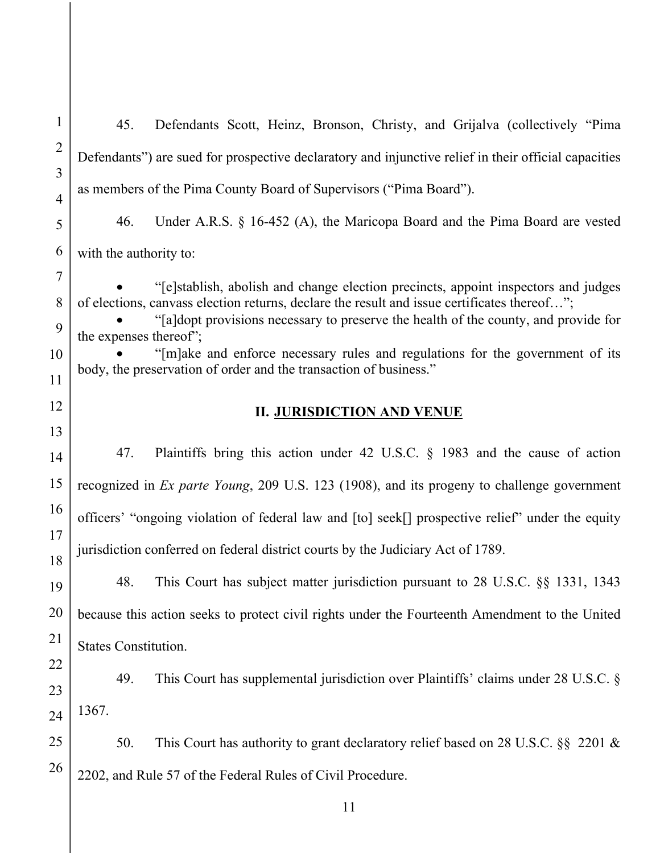21 22 23 24 25 26 45. Defendants Scott, Heinz, Bronson, Christy, and Grijalva (collectively "Pima Defendants") are sued for prospective declaratory and injunctive relief in their official capacities as members of the Pima County Board of Supervisors ("Pima Board"). 46. Under A.R.S. § 16-452 (A), the Maricopa Board and the Pima Board are vested with the authority to: "[e]stablish, abolish and change election precincts, appoint inspectors and judges of elections, canvass election returns, declare the result and issue certificates thereof…"; "[a]dopt provisions necessary to preserve the health of the county, and provide for the expenses thereof"; "[m]ake and enforce necessary rules and regulations for the government of its body, the preservation of order and the transaction of business." **II. JURISDICTION AND VENUE**  47. Plaintiffs bring this action under 42 U.S.C. § 1983 and the cause of action recognized in *Ex parte Young*, 209 U.S. 123 (1908), and its progeny to challenge government officers' "ongoing violation of federal law and [to] seek[] prospective relief" under the equity jurisdiction conferred on federal district courts by the Judiciary Act of 1789. 48. This Court has subject matter jurisdiction pursuant to 28 U.S.C. §§ 1331, 1343 because this action seeks to protect civil rights under the Fourteenth Amendment to the United States Constitution. 49. This Court has supplemental jurisdiction over Plaintiffs' claims under 28 U.S.C. § 1367. 50. This Court has authority to grant declaratory relief based on 28 U.S.C. §§ 2201 & 2202, and Rule 57 of the Federal Rules of Civil Procedure.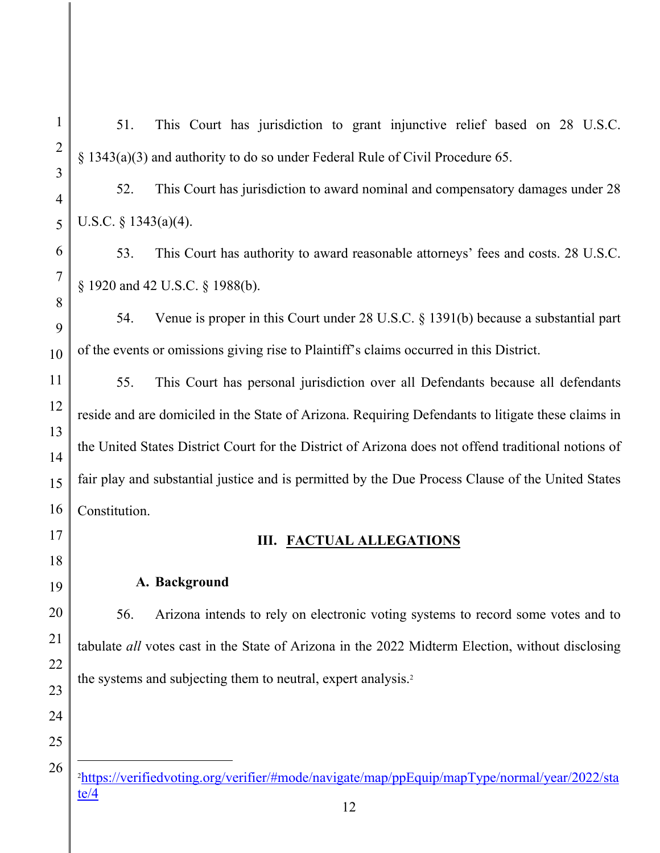51. This Court has jurisdiction to grant injunctive relief based on 28 U.S.C. § 1343(a)(3) and authority to do so under Federal Rule of Civil Procedure 65.

52. This Court has jurisdiction to award nominal and compensatory damages under 28 U.S.C. § 1343(a)(4).

53. This Court has authority to award reasonable attorneys' fees and costs. 28 U.S.C. § 1920 and 42 U.S.C. § 1988(b).

54. Venue is proper in this Court under 28 U.S.C. § 1391(b) because a substantial part of the events or omissions giving rise to Plaintiff's claims occurred in this District.

55. This Court has personal jurisdiction over all Defendants because all defendants reside and are domiciled in the State of Arizona. Requiring Defendants to litigate these claims in the United States District Court for the District of Arizona does not offend traditional notions of fair play and substantial justice and is permitted by the Due Process Clause of the United States Constitution.

# **III. FACTUAL ALLEGATIONS**

### **A. Background**

56. Arizona intends to rely on electronic voting systems to record some votes and to tabulate *all* votes cast in the State of Arizona in the 2022 Midterm Election, without disclosing the systems and subjecting them to neutral, expert analysis.<sup>2</sup>

<sup>2</sup> https://verifiedvoting.org/verifier/#mode/navigate/map/ppEquip/mapType/normal/year/2022/sta te/4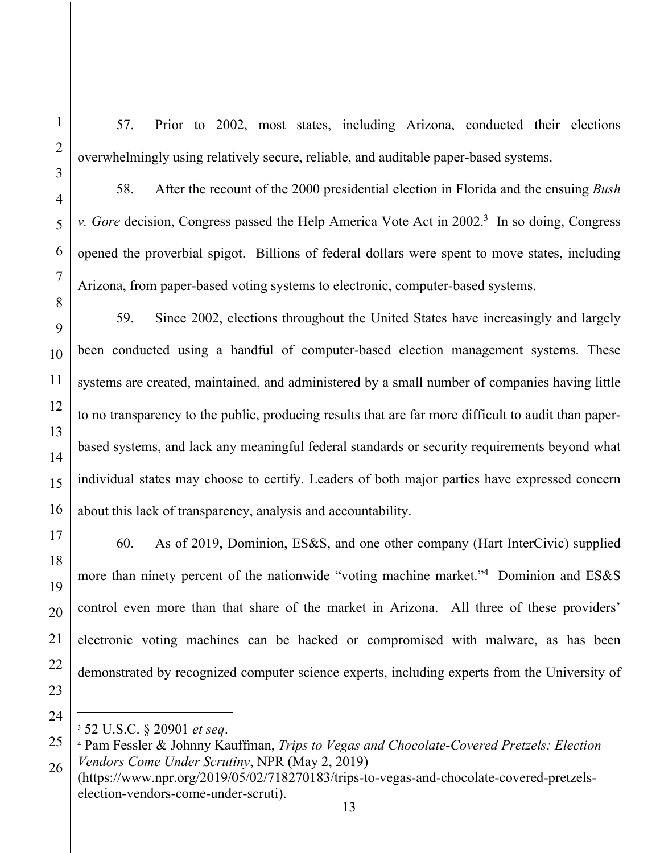1

57. Prior to 2002, most states, including Arizona, conducted their elections overwhelmingly using relatively secure, reliable, and auditable paper-based systems.

58. After the recount of the 2000 presidential election in Florida and the ensuing *Bush v. Gore* decision, Congress passed the Help America Vote Act in 2002.<sup>3</sup> In so doing, Congress opened the proverbial spigot. Billions of federal dollars were spent to move states, including Arizona, from paper-based voting systems to electronic, computer-based systems.

59. Since 2002, elections throughout the United States have increasingly and largely been conducted using a handful of computer-based election management systems. These systems are created, maintained, and administered by a small number of companies having little to no transparency to the public, producing results that are far more difficult to audit than paperbased systems, and lack any meaningful federal standards or security requirements beyond what individual states may choose to certify. Leaders of both major parties have expressed concern about this lack of transparency, analysis and accountability.

60. As of 2019, Dominion, ES&S, and one other company (Hart InterCivic) supplied more than ninety percent of the nationwide "voting machine market."4 Dominion and ES&S control even more than that share of the market in Arizona. All three of these providers' electronic voting machines can be hacked or compromised with malware, as has been demonstrated by recognized computer science experts, including experts from the University of

<sup>3</sup> 52 U.S.C. § 20901 *et seq*. 4

Pam Fessler & Johnny Kauffman, *Trips to Vegas and Chocolate-Covered Pretzels: Election Vendors Come Under Scrutiny*, NPR (May 2, 2019)

<sup>(</sup>https://www.npr.org/2019/05/02/718270183/trips-to-vegas-and-chocolate-covered-pretzelselection-vendors-come-under-scruti).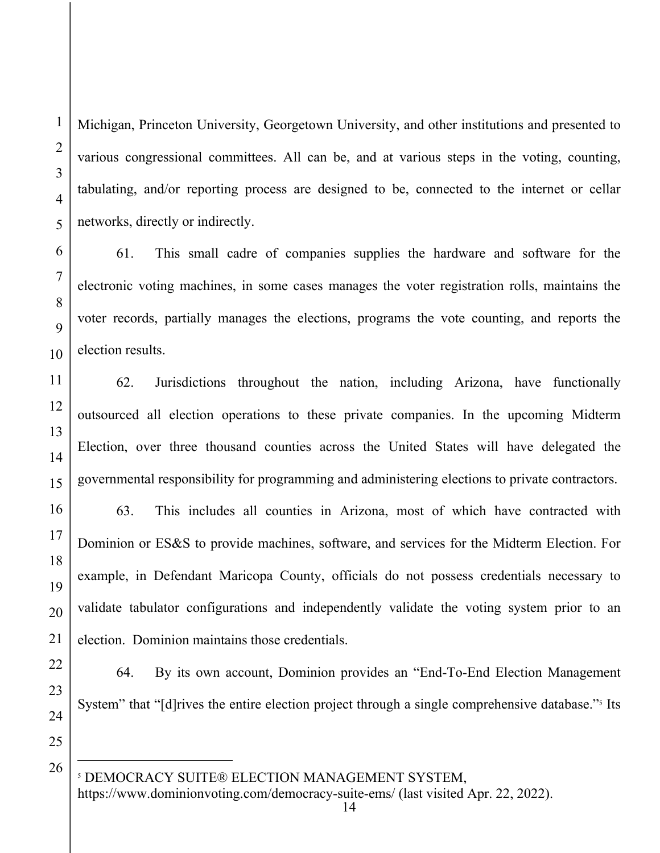Michigan, Princeton University, Georgetown University, and other institutions and presented to various congressional committees. All can be, and at various steps in the voting, counting, tabulating, and/or reporting process are designed to be, connected to the internet or cellar networks, directly or indirectly.

61. This small cadre of companies supplies the hardware and software for the electronic voting machines, in some cases manages the voter registration rolls, maintains the voter records, partially manages the elections, programs the vote counting, and reports the election results.

62. Jurisdictions throughout the nation, including Arizona, have functionally outsourced all election operations to these private companies. In the upcoming Midterm Election, over three thousand counties across the United States will have delegated the governmental responsibility for programming and administering elections to private contractors.

63. This includes all counties in Arizona, most of which have contracted with Dominion or ES&S to provide machines, software, and services for the Midterm Election. For example, in Defendant Maricopa County, officials do not possess credentials necessary to validate tabulator configurations and independently validate the voting system prior to an election. Dominion maintains those credentials.

64. By its own account, Dominion provides an "End-To-End Election Management System" that "[d]rives the entire election project through a single comprehensive database."<sup>5</sup> Its

25

26

1

2

3

4

5

6

7

8

9

10

11

12

13

14

15

16

17

18

19

20

21

22

23

24

https://www.dominionvoting.com/democracy-suite-ems/ (last visited Apr. 22, 2022).

<sup>5</sup> DEMOCRACY SUITE® ELECTION MANAGEMENT SYSTEM,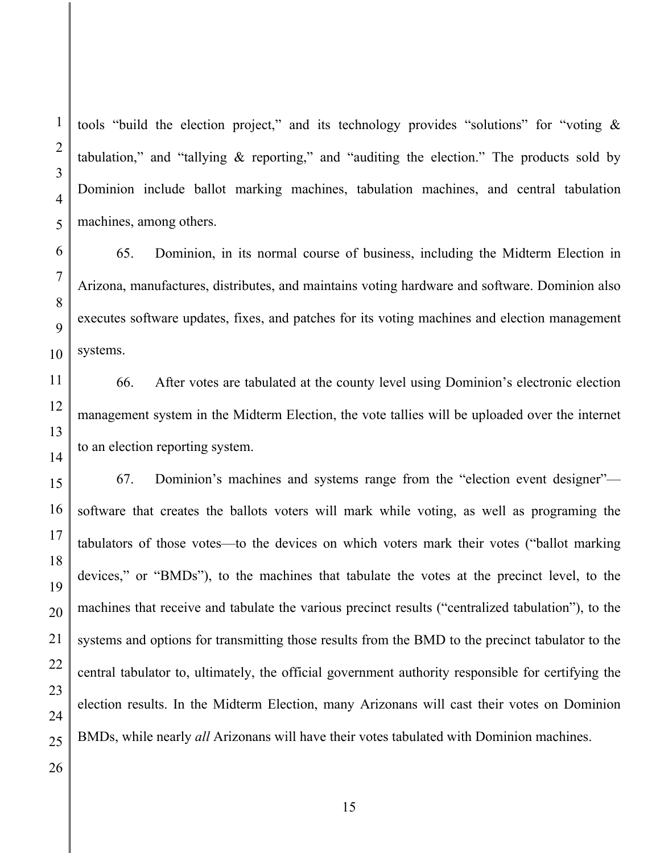tools "build the election project," and its technology provides "solutions" for "voting & tabulation," and "tallying & reporting," and "auditing the election." The products sold by Dominion include ballot marking machines, tabulation machines, and central tabulation machines, among others.

65. Dominion, in its normal course of business, including the Midterm Election in Arizona, manufactures, distributes, and maintains voting hardware and software. Dominion also executes software updates, fixes, and patches for its voting machines and election management systems.

66. After votes are tabulated at the county level using Dominion's electronic election management system in the Midterm Election, the vote tallies will be uploaded over the internet to an election reporting system.

67. Dominion's machines and systems range from the "election event designer" software that creates the ballots voters will mark while voting, as well as programing the tabulators of those votes—to the devices on which voters mark their votes ("ballot marking devices," or "BMDs"), to the machines that tabulate the votes at the precinct level, to the machines that receive and tabulate the various precinct results ("centralized tabulation"), to the systems and options for transmitting those results from the BMD to the precinct tabulator to the central tabulator to, ultimately, the official government authority responsible for certifying the election results. In the Midterm Election, many Arizonans will cast their votes on Dominion BMDs, while nearly *all* Arizonans will have their votes tabulated with Dominion machines.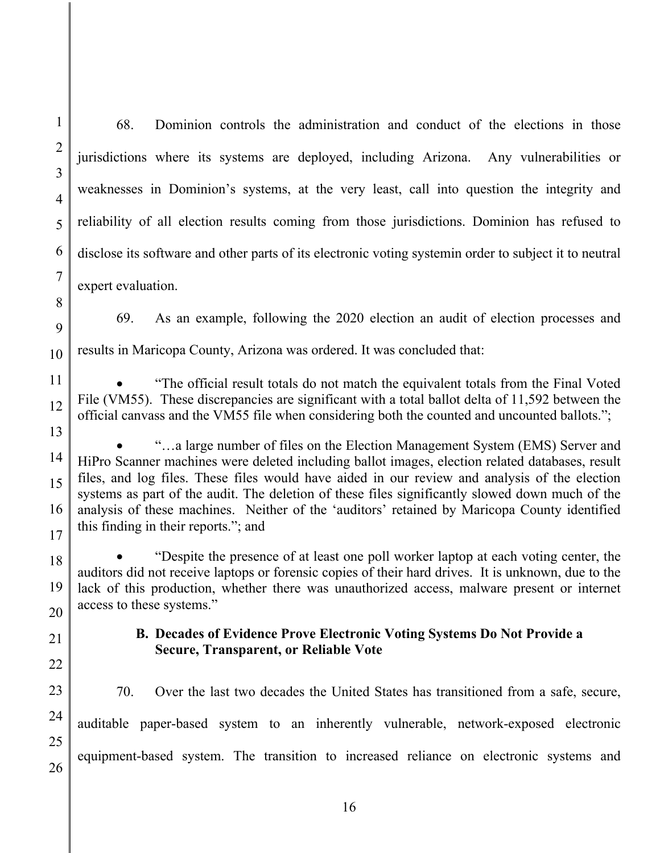68. Dominion controls the administration and conduct of the elections in those jurisdictions where its systems are deployed, including Arizona. Any vulnerabilities or weaknesses in Dominion's systems, at the very least, call into question the integrity and reliability of all election results coming from those jurisdictions. Dominion has refused to disclose its software and other parts of its electronic voting systemin order to subject it to neutral expert evaluation.

69. As an example, following the 2020 election an audit of election processes and results in Maricopa County, Arizona was ordered. It was concluded that:

 "The official result totals do not match the equivalent totals from the Final Voted File (VM55). These discrepancies are significant with a total ballot delta of 11,592 between the official canvass and the VM55 file when considering both the counted and uncounted ballots.";

 "…a large number of files on the Election Management System (EMS) Server and HiPro Scanner machines were deleted including ballot images, election related databases, result files, and log files. These files would have aided in our review and analysis of the election systems as part of the audit. The deletion of these files significantly slowed down much of the analysis of these machines. Neither of the 'auditors' retained by Maricopa County identified this finding in their reports."; and

 "Despite the presence of at least one poll worker laptop at each voting center, the auditors did not receive laptops or forensic copies of their hard drives. It is unknown, due to the lack of this production, whether there was unauthorized access, malware present or internet access to these systems."

## **B. Decades of Evidence Prove Electronic Voting Systems Do Not Provide a Secure, Transparent, or Reliable Vote**

70. Over the last two decades the United States has transitioned from a safe, secure, auditable paper-based system to an inherently vulnerable, network-exposed electronic equipment-based system. The transition to increased reliance on electronic systems and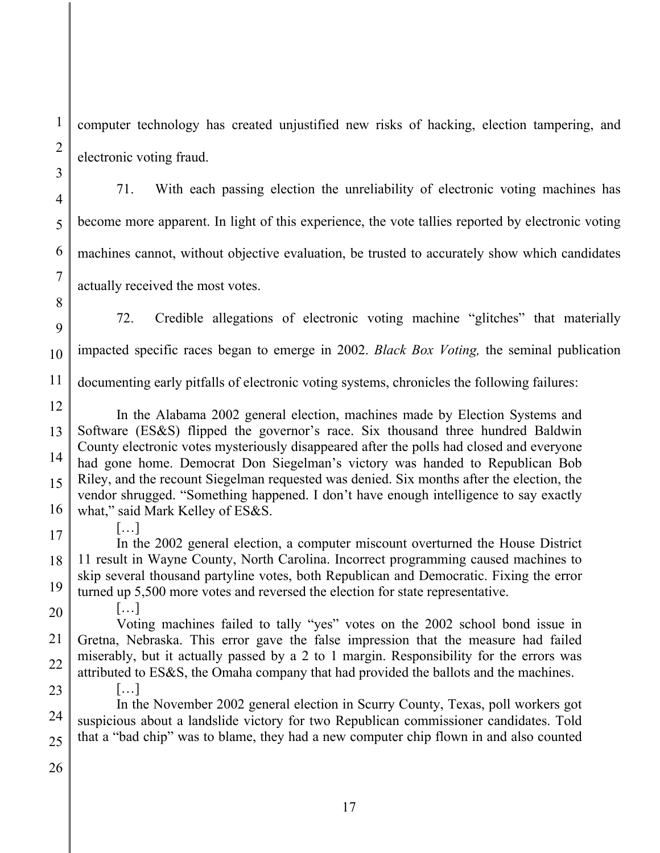computer technology has created unjustified new risks of hacking, election tampering, and electronic voting fraud.

71. With each passing election the unreliability of electronic voting machines has become more apparent. In light of this experience, the vote tallies reported by electronic voting machines cannot, without objective evaluation, be trusted to accurately show which candidates actually received the most votes.

9 10 72. Credible allegations of electronic voting machine "glitches" that materially impacted specific races began to emerge in 2002. *Black Box Voting,* the seminal publication

11 documenting early pitfalls of electronic voting systems, chronicles the following failures:

12 13 14 15 16 In the Alabama 2002 general election, machines made by Election Systems and Software (ES&S) flipped the governor's race. Six thousand three hundred Baldwin County electronic votes mysteriously disappeared after the polls had closed and everyone had gone home. Democrat Don Siegelman's victory was handed to Republican Bob Riley, and the recount Siegelman requested was denied. Six months after the election, the vendor shrugged. "Something happened. I don't have enough intelligence to say exactly what," said Mark Kelley of ES&S.

17

[…]

[…]

1

2

3

4

5

6

7

8

18 19 In the 2002 general election, a computer miscount overturned the House District 11 result in Wayne County, North Carolina. Incorrect programming caused machines to skip several thousand partyline votes, both Republican and Democratic. Fixing the error turned up 5,500 more votes and reversed the election for state representative.

20

21 22 Voting machines failed to tally "yes" votes on the 2002 school bond issue in Gretna, Nebraska. This error gave the false impression that the measure had failed miserably, but it actually passed by a 2 to 1 margin. Responsibility for the errors was attributed to ES&S, the Omaha company that had provided the ballots and the machines.

23 24 25 […] In the November 2002 general election in Scurry County, Texas, poll workers got suspicious about a landslide victory for two Republican commissioner candidates. Told that a "bad chip" was to blame, they had a new computer chip flown in and also counted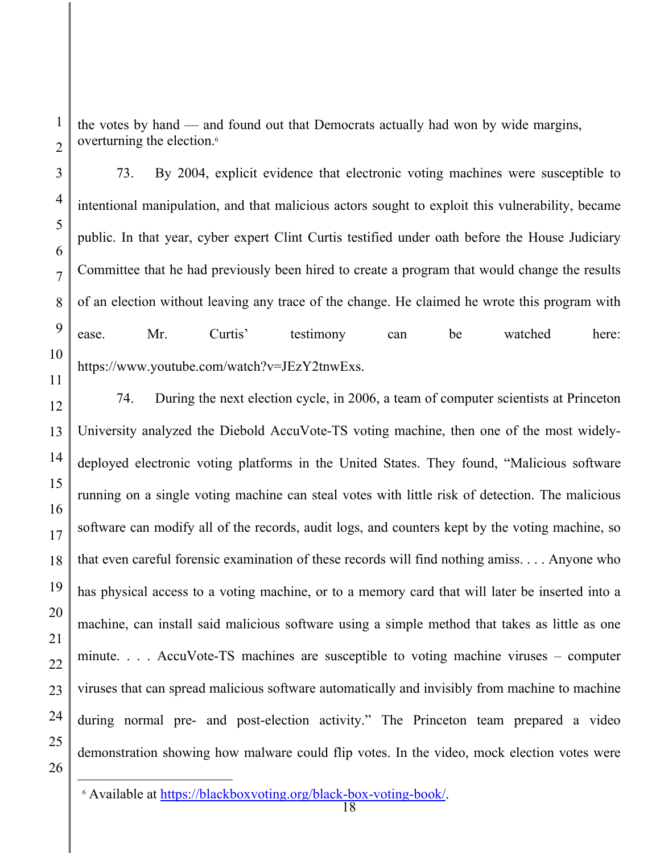the votes by hand — and found out that Democrats actually had won by wide margins, overturning the election.<sup>6</sup>

73. By 2004, explicit evidence that electronic voting machines were susceptible to intentional manipulation, and that malicious actors sought to exploit this vulnerability, became public. In that year, cyber expert Clint Curtis testified under oath before the House Judiciary Committee that he had previously been hired to create a program that would change the results of an election without leaving any trace of the change. He claimed he wrote this program with ease. Mr. Curtis' testimony can be watched here: https://www.youtube.com/watch?v=JEzY2tnwExs.

74. During the next election cycle, in 2006, a team of computer scientists at Princeton University analyzed the Diebold AccuVote-TS voting machine, then one of the most widelydeployed electronic voting platforms in the United States. They found, "Malicious software running on a single voting machine can steal votes with little risk of detection. The malicious software can modify all of the records, audit logs, and counters kept by the voting machine, so that even careful forensic examination of these records will find nothing amiss. . . . Anyone who has physical access to a voting machine, or to a memory card that will later be inserted into a machine, can install said malicious software using a simple method that takes as little as one minute. . . . AccuVote-TS machines are susceptible to voting machine viruses – computer viruses that can spread malicious software automatically and invisibly from machine to machine during normal pre- and post-election activity." The Princeton team prepared a video demonstration showing how malware could flip votes. In the video, mock election votes were

1

2

3

4

5

6

7

8

9

10

11

12

13

14

15

16

17

18

19

20

21

22

23

24

<sup>6</sup> Available at https://blackboxvoting.org/black-box-voting-book/.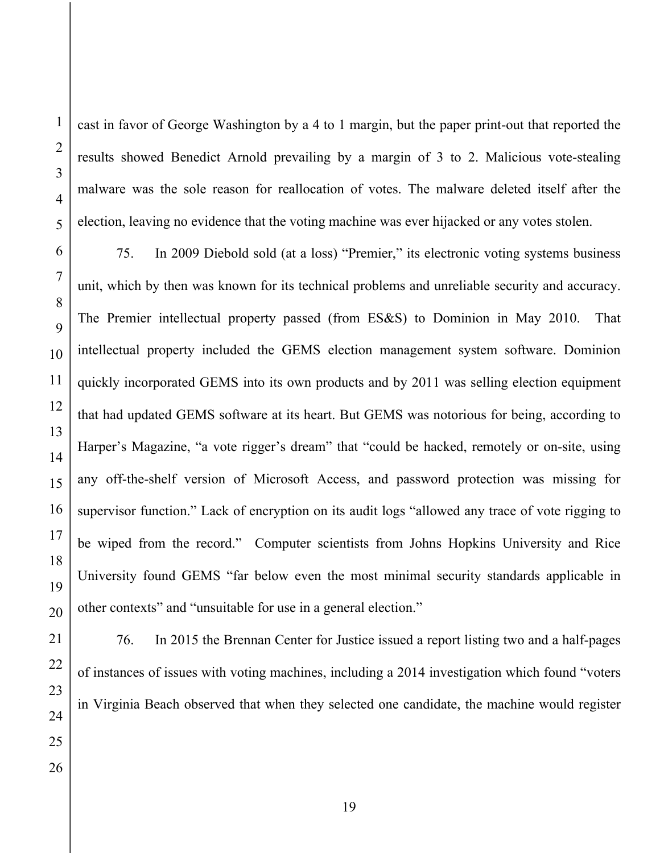cast in favor of George Washington by a 4 to 1 margin, but the paper print-out that reported the results showed Benedict Arnold prevailing by a margin of 3 to 2. Malicious vote-stealing malware was the sole reason for reallocation of votes. The malware deleted itself after the election, leaving no evidence that the voting machine was ever hijacked or any votes stolen.

75. In 2009 Diebold sold (at a loss) "Premier," its electronic voting systems business unit, which by then was known for its technical problems and unreliable security and accuracy. The Premier intellectual property passed (from ES&S) to Dominion in May 2010. That intellectual property included the GEMS election management system software. Dominion quickly incorporated GEMS into its own products and by 2011 was selling election equipment that had updated GEMS software at its heart. But GEMS was notorious for being, according to Harper's Magazine, "a vote rigger's dream" that "could be hacked, remotely or on-site, using any off-the-shelf version of Microsoft Access, and password protection was missing for supervisor function." Lack of encryption on its audit logs "allowed any trace of vote rigging to be wiped from the record." Computer scientists from Johns Hopkins University and Rice University found GEMS "far below even the most minimal security standards applicable in other contexts" and "unsuitable for use in a general election."

76. In 2015 the Brennan Center for Justice issued a report listing two and a half-pages of instances of issues with voting machines, including a 2014 investigation which found "voters in Virginia Beach observed that when they selected one candidate, the machine would register

1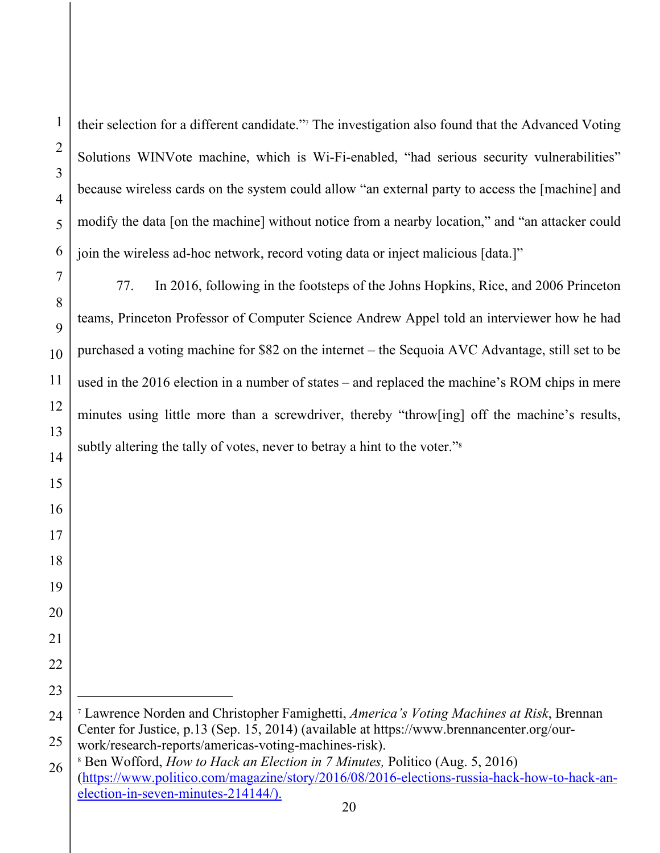their selection for a different candidate."7 The investigation also found that the Advanced Voting Solutions WINVote machine, which is Wi-Fi-enabled, "had serious security vulnerabilities" because wireless cards on the system could allow "an external party to access the [machine] and modify the data [on the machine] without notice from a nearby location," and "an attacker could join the wireless ad-hoc network, record voting data or inject malicious [data.]"

77. In 2016, following in the footsteps of the Johns Hopkins, Rice, and 2006 Princeton teams, Princeton Professor of Computer Science Andrew Appel told an interviewer how he had purchased a voting machine for \$82 on the internet – the Sequoia AVC Advantage, still set to be used in the 2016 election in a number of states – and replaced the machine's ROM chips in mere minutes using little more than a screwdriver, thereby "throw[ing] off the machine's results, subtly altering the tally of votes, never to betray a hint to the voter."<sup>8</sup>

 Lawrence Norden and Christopher Famighetti, *America's Voting Machines at Risk*, Brennan Center for Justice, p.13 (Sep. 15, 2014) (available at https://www.brennancenter.org/ourwork/research-reports/americas-voting-machines-risk).

 Ben Wofford, *How to Hack an Election in 7 Minutes,* Politico (Aug. 5, 2016) (https://www.politico.com/magazine/story/2016/08/2016-elections-russia-hack-how-to-hack-anelection-in-seven-minutes-214144/).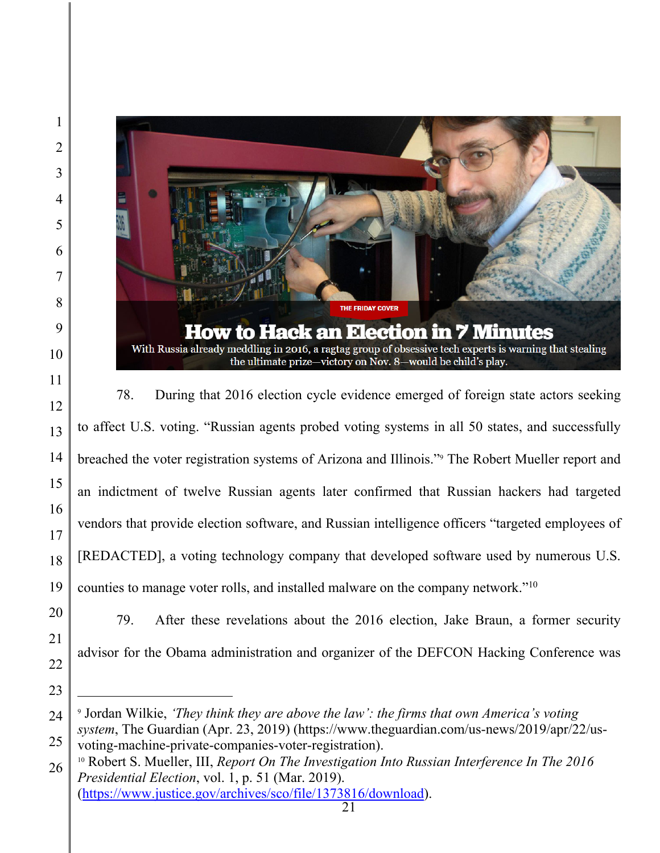

78. During that 2016 election cycle evidence emerged of foreign state actors seeking to affect U.S. voting. "Russian agents probed voting systems in all 50 states, and successfully breached the voter registration systems of Arizona and Illinois."9 The Robert Mueller report and an indictment of twelve Russian agents later confirmed that Russian hackers had targeted vendors that provide election software, and Russian intelligence officers "targeted employees of [REDACTED], a voting technology company that developed software used by numerous U.S. counties to manage voter rolls, and installed malware on the company network."10

79. After these revelations about the 2016 election, Jake Braun, a former security advisor for the Obama administration and organizer of the DEFCON Hacking Conference was

 Jordan Wilkie, *'They think they are above the law': the firms that own America's voting system*, The Guardian (Apr. 23, 2019) (https://www.theguardian.com/us-news/2019/apr/22/us-

voting-machine-private-companies-voter-registration). 10 Robert S. Mueller, III, *Report On The Investigation Into Russian Interference In The 2016 Presidential Election*, vol. 1, p. 51 (Mar. 2019). (https://www.justice.gov/archives/sco/file/1373816/download).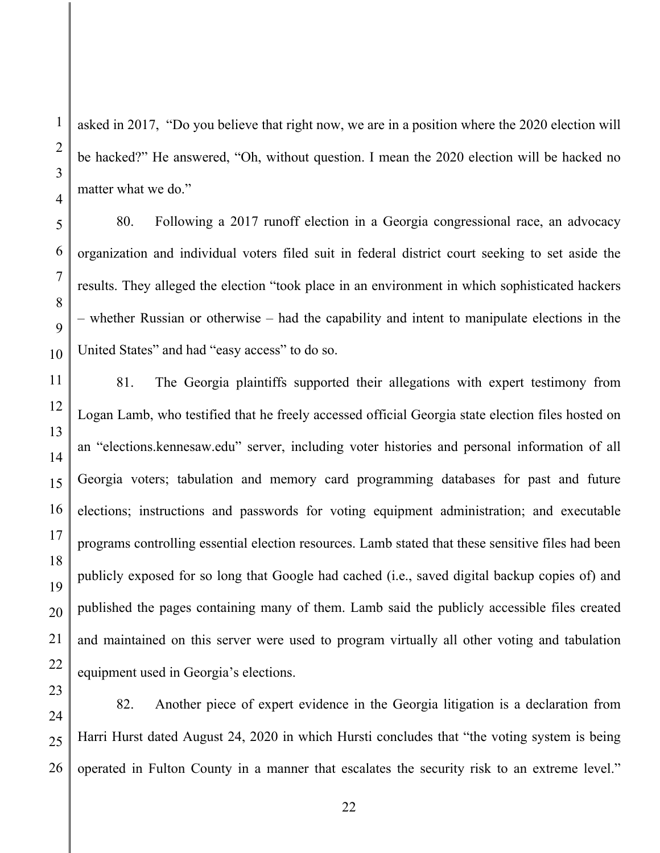asked in 2017, "Do you believe that right now, we are in a position where the 2020 election will be hacked?" He answered, "Oh, without question. I mean the 2020 election will be hacked no matter what we do."

80. Following a 2017 runoff election in a Georgia congressional race, an advocacy organization and individual voters filed suit in federal district court seeking to set aside the results. They alleged the election "took place in an environment in which sophisticated hackers – whether Russian or otherwise – had the capability and intent to manipulate elections in the United States" and had "easy access" to do so.

81. The Georgia plaintiffs supported their allegations with expert testimony from Logan Lamb, who testified that he freely accessed official Georgia state election files hosted on an "elections.kennesaw.edu" server, including voter histories and personal information of all Georgia voters; tabulation and memory card programming databases for past and future elections; instructions and passwords for voting equipment administration; and executable programs controlling essential election resources. Lamb stated that these sensitive files had been publicly exposed for so long that Google had cached (i.e., saved digital backup copies of) and published the pages containing many of them. Lamb said the publicly accessible files created and maintained on this server were used to program virtually all other voting and tabulation equipment used in Georgia's elections.

82. Another piece of expert evidence in the Georgia litigation is a declaration from Harri Hurst dated August 24, 2020 in which Hursti concludes that "the voting system is being operated in Fulton County in a manner that escalates the security risk to an extreme level."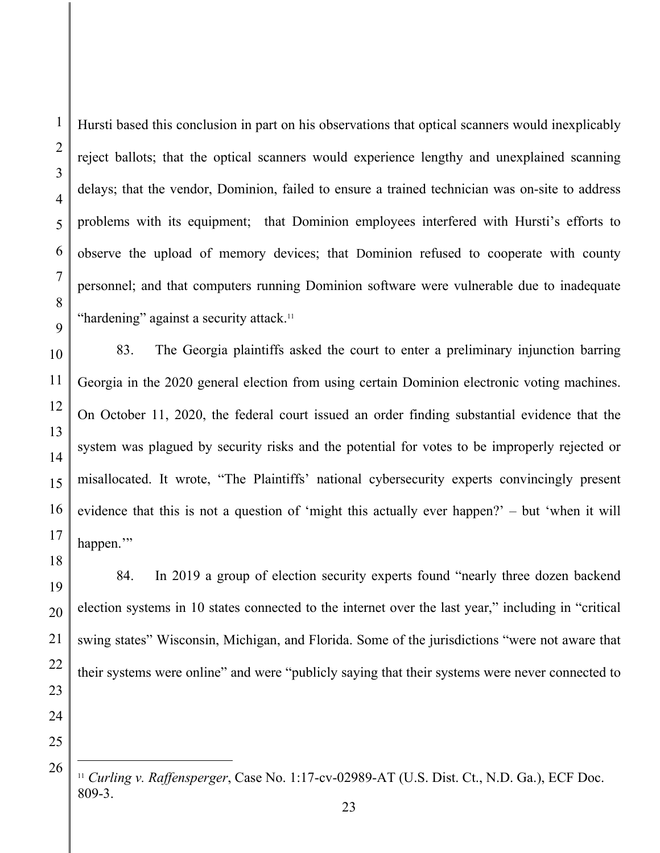Hursti based this conclusion in part on his observations that optical scanners would inexplicably reject ballots; that the optical scanners would experience lengthy and unexplained scanning delays; that the vendor, Dominion, failed to ensure a trained technician was on-site to address problems with its equipment; that Dominion employees interfered with Hursti's efforts to observe the upload of memory devices; that Dominion refused to cooperate with county personnel; and that computers running Dominion software were vulnerable due to inadequate "hardening" against a security attack.<sup>11</sup>

83. The Georgia plaintiffs asked the court to enter a preliminary injunction barring Georgia in the 2020 general election from using certain Dominion electronic voting machines. On October 11, 2020, the federal court issued an order finding substantial evidence that the system was plagued by security risks and the potential for votes to be improperly rejected or misallocated. It wrote, "The Plaintiffs' national cybersecurity experts convincingly present evidence that this is not a question of 'might this actually ever happen?' – but 'when it will happen."

84. In 2019 a group of election security experts found "nearly three dozen backend election systems in 10 states connected to the internet over the last year," including in "critical swing states" Wisconsin, Michigan, and Florida. Some of the jurisdictions "were not aware that their systems were online" and were "publicly saying that their systems were never connected to

<sup>11</sup> *Curling v. Raffensperger*, Case No. 1:17-cv-02989-AT (U.S. Dist. Ct., N.D. Ga.), ECF Doc. 809-3.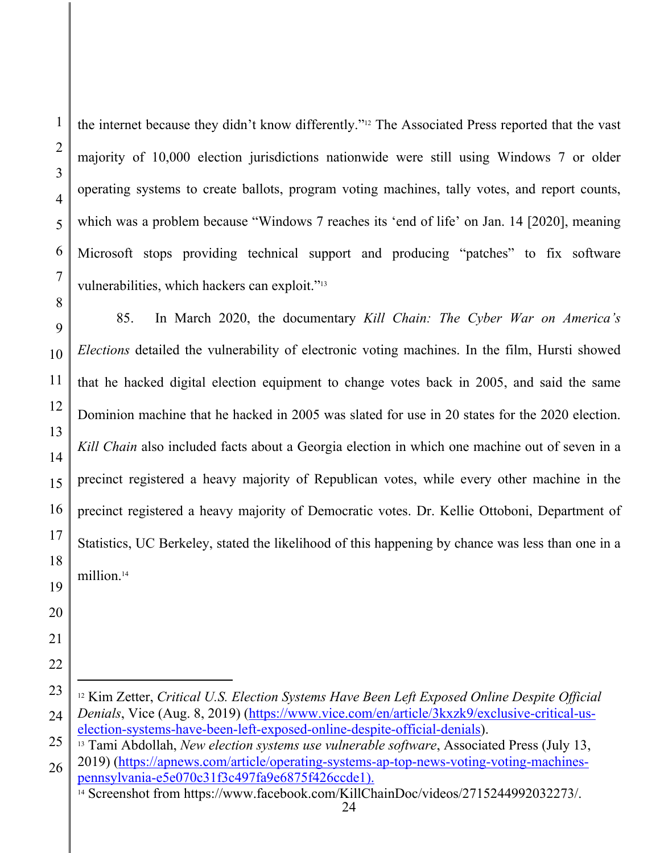the internet because they didn't know differently."12 The Associated Press reported that the vast majority of 10,000 election jurisdictions nationwide were still using Windows 7 or older operating systems to create ballots, program voting machines, tally votes, and report counts, which was a problem because "Windows 7 reaches its 'end of life' on Jan. 14 [2020], meaning Microsoft stops providing technical support and producing "patches" to fix software vulnerabilities, which hackers can exploit."13

9 10 11 12 13 14 15 16 17 18 19 85. In March 2020, the documentary *Kill Chain: The Cyber War on America's Elections* detailed the vulnerability of electronic voting machines. In the film, Hursti showed that he hacked digital election equipment to change votes back in 2005, and said the same Dominion machine that he hacked in 2005 was slated for use in 20 states for the 2020 election. *Kill Chain* also included facts about a Georgia election in which one machine out of seven in a precinct registered a heavy majority of Republican votes, while every other machine in the precinct registered a heavy majority of Democratic votes. Dr. Kellie Ottoboni, Department of Statistics, UC Berkeley, stated the likelihood of this happening by chance was less than one in a million.14

23 24 12 Kim Zetter, *Critical U.S. Election Systems Have Been Left Exposed Online Despite Official Denials*, Vice (Aug. 8, 2019) (https://www.vice.com/en/article/3kxzk9/exclusive-critical-uselection-systems-have-been-left-exposed-online-despite-official-denials). 13 Tami Abdollah, *New election systems use vulnerable software*, Associated Press (July 13,

25

26 2019) (https://apnews.com/article/operating-systems-ap-top-news-voting-voting-machinespennsylvania-e5e070c31f3c497fa9e6875f426ccde1).<br><sup>14</sup> Screenshot from https://www.facebook.com/KillChainDoc/videos/2715244992032273/.

24

1

2

3

4

5

6

7

8

20

21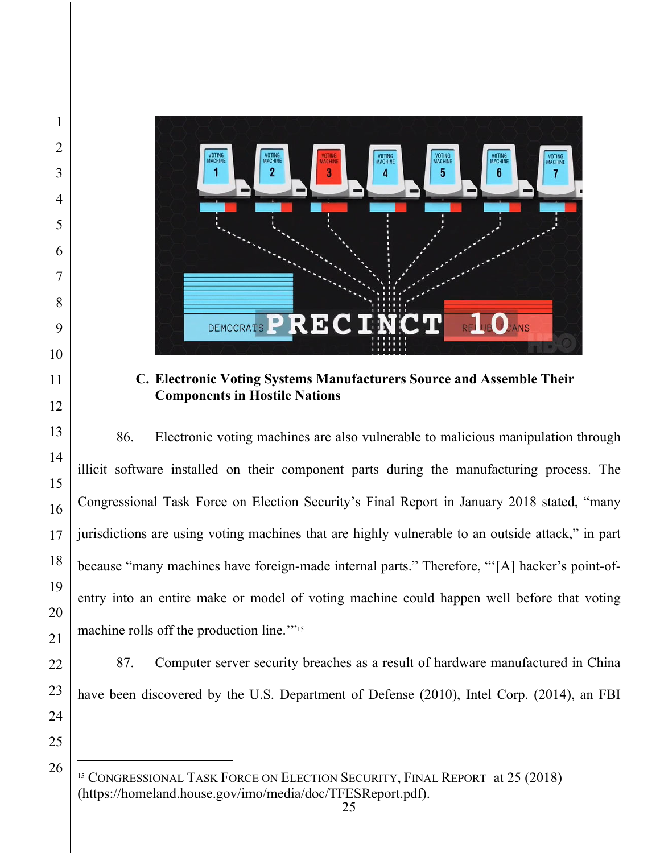

**C. Electronic Voting Systems Manufacturers Source and Assemble Their Components in Hostile Nations** 

86. Electronic voting machines are also vulnerable to malicious manipulation through illicit software installed on their component parts during the manufacturing process. The Congressional Task Force on Election Security's Final Report in January 2018 stated, "many jurisdictions are using voting machines that are highly vulnerable to an outside attack," in part because "many machines have foreign-made internal parts." Therefore, "'[A] hacker's point-ofentry into an entire make or model of voting machine could happen well before that voting machine rolls off the production line."<sup>15</sup>

87. Computer server security breaches as a result of hardware manufactured in China have been discovered by the U.S. Department of Defense (2010), Intel Corp. (2014), an FBI

<sup>&</sup>lt;sup>15</sup> CONGRESSIONAL TASK FORCE ON ELECTION SECURITY, FINAL REPORT at 25 (2018) (https://homeland.house.gov/imo/media/doc/TFESReport.pdf).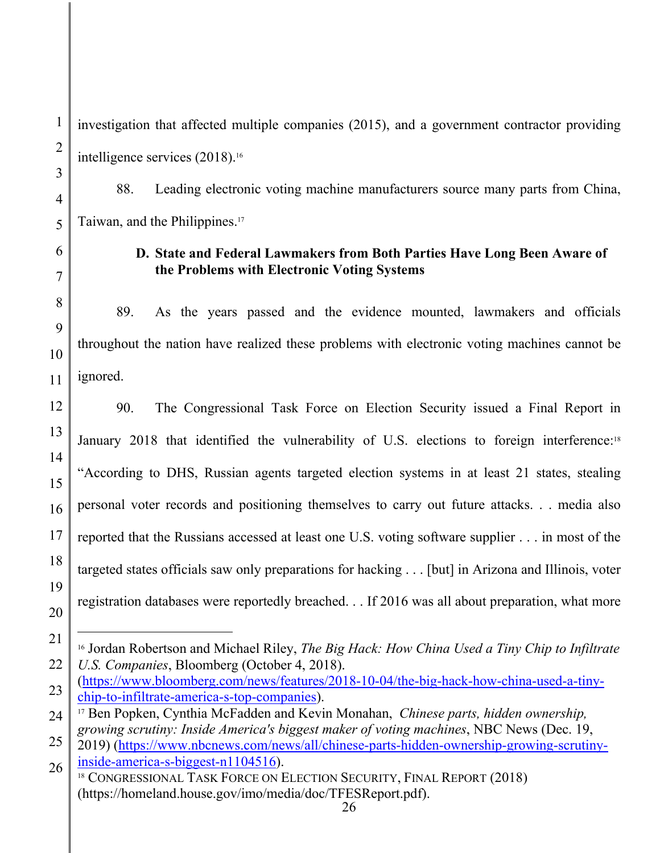investigation that affected multiple companies (2015), and a government contractor providing intelligence services (2018).16

88. Leading electronic voting machine manufacturers source many parts from China, Taiwan, and the Philippines.17

# **D. State and Federal Lawmakers from Both Parties Have Long Been Aware of the Problems with Electronic Voting Systems**

89. As the years passed and the evidence mounted, lawmakers and officials throughout the nation have realized these problems with electronic voting machines cannot be ignored.

90. The Congressional Task Force on Election Security issued a Final Report in January 2018 that identified the vulnerability of U.S. elections to foreign interference:<sup>18</sup> "According to DHS, Russian agents targeted election systems in at least 21 states, stealing personal voter records and positioning themselves to carry out future attacks. . . media also reported that the Russians accessed at least one U.S. voting software supplier . . . in most of the targeted states officials saw only preparations for hacking . . . [but] in Arizona and Illinois, voter registration databases were reportedly breached. . . If 2016 was all about preparation, what more

<sup>16</sup> Jordan Robertson and Michael Riley, *The Big Hack: How China Used a Tiny Chip to Infiltrate U.S. Companies*, Bloomberg (October 4, 2018).

<sup>(</sup>https://www.bloomberg.com/news/features/2018-10-04/the-big-hack-how-china-used-a-tinychip-to-infiltrate-america-s-top-companies). 17 Ben Popken, Cynthia McFadden and Kevin Monahan, *Chinese parts, hidden ownership,* 

*growing scrutiny: Inside America's biggest maker of voting machines*, NBC News (Dec. 19,

<sup>2019) (</sup>https://www.nbcnews.com/news/all/chinese-parts-hidden-ownership-growing-scrutinyinside-america-s-biggest-n1104516).<br><sup>18</sup> CONGRESSIONAL TASK FORCE ON ELECTION SECURITY, FINAL REPORT (2018)

<sup>(</sup>https://homeland.house.gov/imo/media/doc/TFESReport.pdf).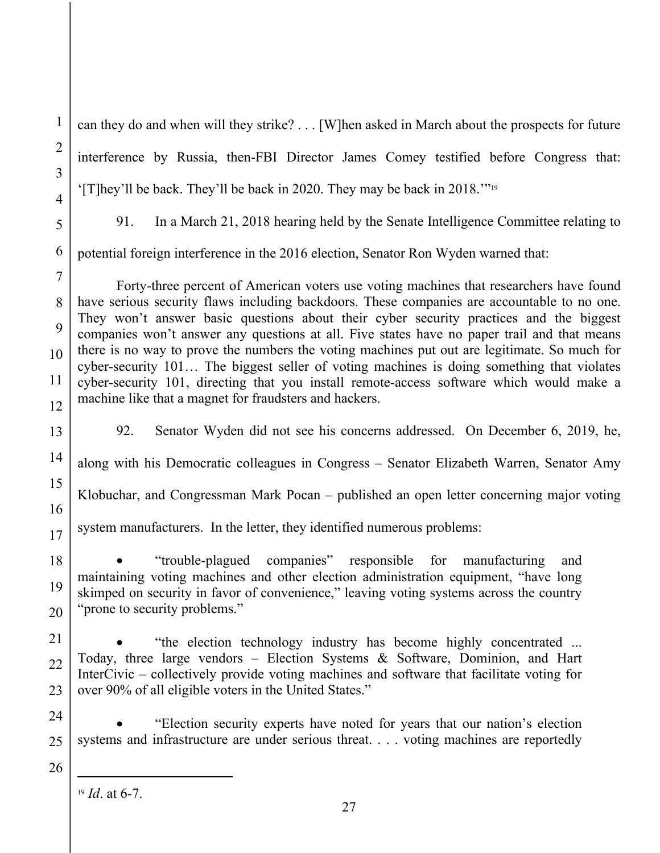1 2 3 4 5 6 7 8 9 10 11 12 13 14 15 16 17 18 19 20 21 22 23 24 25 26 can they do and when will they strike? . . . [W]hen asked in March about the prospects for future interference by Russia, then-FBI Director James Comey testified before Congress that: '[T]hey'll be back. They'll be back in 2020. They may be back in 2018.'"19 91. In a March 21, 2018 hearing held by the Senate Intelligence Committee relating to potential foreign interference in the 2016 election, Senator Ron Wyden warned that: Forty-three percent of American voters use voting machines that researchers have found have serious security flaws including backdoors. These companies are accountable to no one. They won't answer basic questions about their cyber security practices and the biggest companies won't answer any questions at all. Five states have no paper trail and that means there is no way to prove the numbers the voting machines put out are legitimate. So much for cyber-security 101… The biggest seller of voting machines is doing something that violates cyber-security 101, directing that you install remote-access software which would make a machine like that a magnet for fraudsters and hackers. 92. Senator Wyden did not see his concerns addressed. On December 6, 2019, he, along with his Democratic colleagues in Congress – Senator Elizabeth Warren, Senator Amy Klobuchar, and Congressman Mark Pocan – published an open letter concerning major voting system manufacturers. In the letter, they identified numerous problems: "trouble-plagued companies" responsible for manufacturing and maintaining voting machines and other election administration equipment, "have long skimped on security in favor of convenience," leaving voting systems across the country "prone to security problems." "the election technology industry has become highly concentrated ... Today, three large vendors – Election Systems & Software, Dominion, and Hart InterCivic – collectively provide voting machines and software that facilitate voting for over 90% of all eligible voters in the United States." "Election security experts have noted for years that our nation's election systems and infrastructure are under serious threat. . . . voting machines are reportedly <sup>19</sup> *Id*. at 6-7.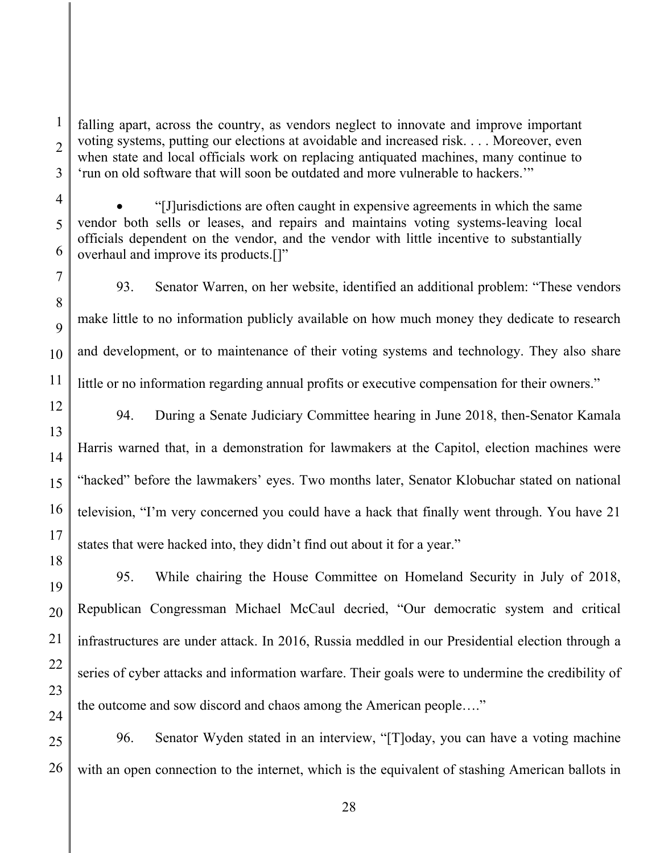falling apart, across the country, as vendors neglect to innovate and improve important voting systems, putting our elections at avoidable and increased risk. . . . Moreover, even when state and local officials work on replacing antiquated machines, many continue to 'run on old software that will soon be outdated and more vulnerable to hackers.'"

1

2

 "[J]urisdictions are often caught in expensive agreements in which the same vendor both sells or leases, and repairs and maintains voting systems-leaving local officials dependent on the vendor, and the vendor with little incentive to substantially overhaul and improve its products.[]"

93. Senator Warren, on her website, identified an additional problem: "These vendors make little to no information publicly available on how much money they dedicate to research and development, or to maintenance of their voting systems and technology. They also share little or no information regarding annual profits or executive compensation for their owners."

94. During a Senate Judiciary Committee hearing in June 2018, then-Senator Kamala Harris warned that, in a demonstration for lawmakers at the Capitol, election machines were "hacked" before the lawmakers' eyes. Two months later, Senator Klobuchar stated on national television, "I'm very concerned you could have a hack that finally went through. You have 21 states that were hacked into, they didn't find out about it for a year."

95. While chairing the House Committee on Homeland Security in July of 2018, Republican Congressman Michael McCaul decried, "Our democratic system and critical infrastructures are under attack. In 2016, Russia meddled in our Presidential election through a series of cyber attacks and information warfare. Their goals were to undermine the credibility of the outcome and sow discord and chaos among the American people…."

26 96. Senator Wyden stated in an interview, "[T]oday, you can have a voting machine with an open connection to the internet, which is the equivalent of stashing American ballots in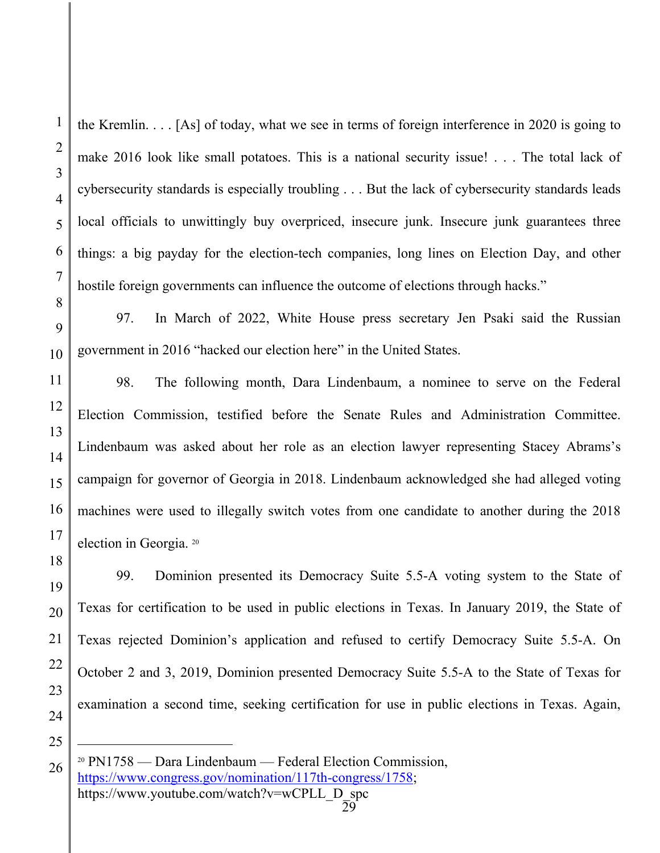the Kremlin. . . . [As] of today, what we see in terms of foreign interference in 2020 is going to make 2016 look like small potatoes. This is a national security issue! . . . The total lack of cybersecurity standards is especially troubling . . . But the lack of cybersecurity standards leads local officials to unwittingly buy overpriced, insecure junk. Insecure junk guarantees three things: a big payday for the election-tech companies, long lines on Election Day, and other hostile foreign governments can influence the outcome of elections through hacks."

97. In March of 2022, White House press secretary Jen Psaki said the Russian government in 2016 "hacked our election here" in the United States.

98. The following month, Dara Lindenbaum, a nominee to serve on the Federal Election Commission, testified before the Senate Rules and Administration Committee. Lindenbaum was asked about her role as an election lawyer representing Stacey Abrams's campaign for governor of Georgia in 2018. Lindenbaum acknowledged she had alleged voting machines were used to illegally switch votes from one candidate to another during the 2018 election in Georgia. 20

99. Dominion presented its Democracy Suite 5.5-A voting system to the State of Texas for certification to be used in public elections in Texas. In January 2019, the State of Texas rejected Dominion's application and refused to certify Democracy Suite 5.5-A. On October 2 and 3, 2019, Dominion presented Democracy Suite 5.5-A to the State of Texas for examination a second time, seeking certification for use in public elections in Texas. Again,

<sup>20</sup> PN1758 — Dara Lindenbaum — Federal Election Commission, https://www.congress.gov/nomination/117th-congress/1758; https://www.youtube.com/watch?v=wCPLL\_D\_spc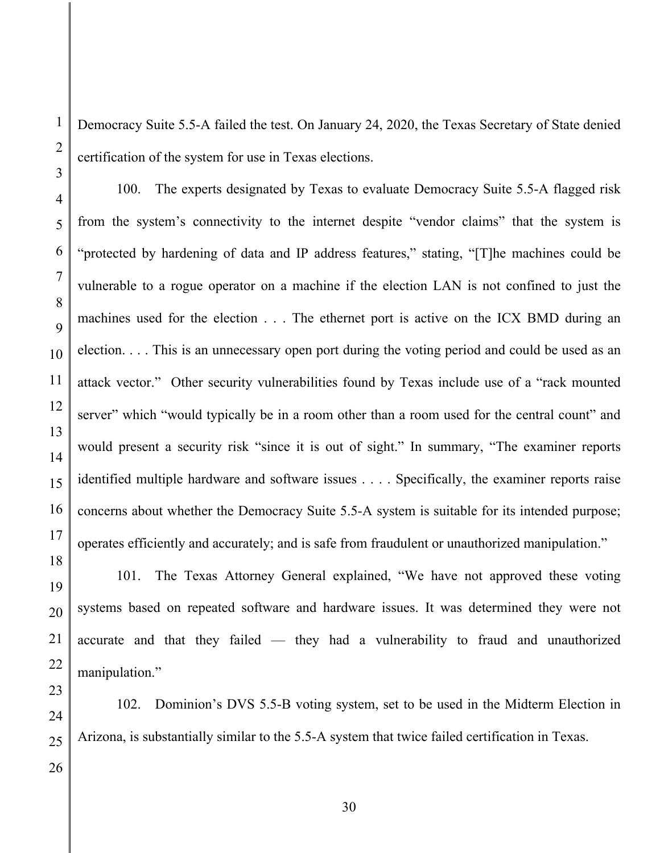Democracy Suite 5.5-A failed the test. On January 24, 2020, the Texas Secretary of State denied certification of the system for use in Texas elections.

100. The experts designated by Texas to evaluate Democracy Suite 5.5-A flagged risk from the system's connectivity to the internet despite "vendor claims" that the system is "protected by hardening of data and IP address features," stating, "[T]he machines could be vulnerable to a rogue operator on a machine if the election LAN is not confined to just the machines used for the election . . . The ethernet port is active on the ICX BMD during an election. . . . This is an unnecessary open port during the voting period and could be used as an attack vector." Other security vulnerabilities found by Texas include use of a "rack mounted server" which "would typically be in a room other than a room used for the central count" and would present a security risk "since it is out of sight." In summary, "The examiner reports identified multiple hardware and software issues . . . . Specifically, the examiner reports raise concerns about whether the Democracy Suite 5.5-A system is suitable for its intended purpose; operates efficiently and accurately; and is safe from fraudulent or unauthorized manipulation."

1

2

3

4

5

6

7

8

9

10

11

12

13

14

15

16

101. The Texas Attorney General explained, "We have not approved these voting systems based on repeated software and hardware issues. It was determined they were not accurate and that they failed — they had a vulnerability to fraud and unauthorized manipulation."

102. Dominion's DVS 5.5-B voting system, set to be used in the Midterm Election in Arizona, is substantially similar to the 5.5-A system that twice failed certification in Texas.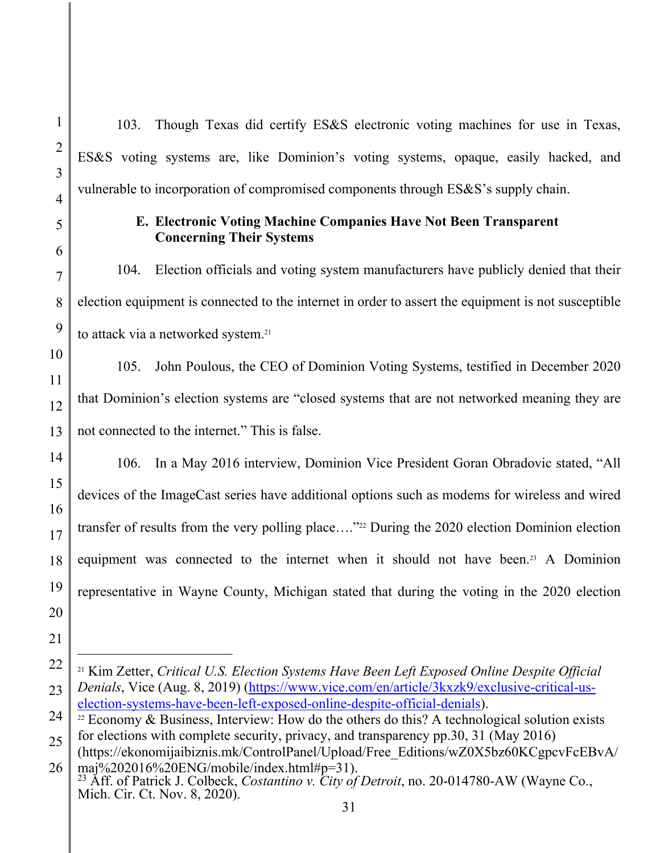103. Though Texas did certify ES&S electronic voting machines for use in Texas, ES&S voting systems are, like Dominion's voting systems, opaque, easily hacked, and vulnerable to incorporation of compromised components through ES&S's supply chain.

## **E. Electronic Voting Machine Companies Have Not Been Transparent Concerning Their Systems**

104. Election officials and voting system manufacturers have publicly denied that their election equipment is connected to the internet in order to assert the equipment is not susceptible to attack via a networked system.<sup>21</sup>

105. John Poulous, the CEO of Dominion Voting Systems, testified in December 2020 that Dominion's election systems are "closed systems that are not networked meaning they are not connected to the internet." This is false.

106. In a May 2016 interview, Dominion Vice President Goran Obradovic stated, "All devices of the ImageCast series have additional options such as modems for wireless and wired transfer of results from the very polling place…."22 During the 2020 election Dominion election equipment was connected to the internet when it should not have been.<sup>23</sup> A Dominion representative in Wayne County, Michigan stated that during the voting in the 2020 election

<sup>21</sup> Kim Zetter, *Critical U.S. Election Systems Have Been Left Exposed Online Despite Official Denials*, Vice (Aug. 8, 2019) (https://www.vice.com/en/article/3kxzk9/exclusive-critical-uselection-systems-have-been-left-exposed-online-despite-official-denials).<br><sup>22</sup> Economy & Business, Interview: How do the others do this? A technological solution exists

for elections with complete security, privacy, and transparency pp.30, 31 (May 2016)

<sup>(</sup>https://ekonomijaibiznis.mk/ControlPanel/Upload/Free\_Editions/wZ0X5bz60KCgpcvFcEBvA/ maj%202016%20ENG/mobile/index.html#p=31).

<sup>23</sup> Aff. of Patrick J. Colbeck, *Costantino v. City of Detroit*, no. 20-014780-AW (Wayne Co., Mich. Cir. Ct. Nov. 8, 2020).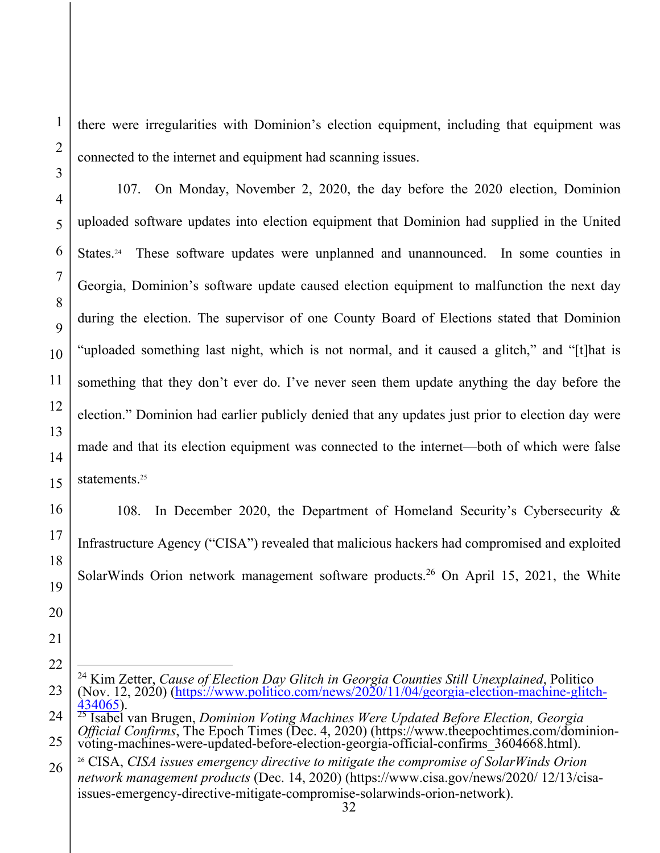there were irregularities with Dominion's election equipment, including that equipment was connected to the internet and equipment had scanning issues.

107. On Monday, November 2, 2020, the day before the 2020 election, Dominion uploaded software updates into election equipment that Dominion had supplied in the United States.24 These software updates were unplanned and unannounced.In some counties in Georgia, Dominion's software update caused election equipment to malfunction the next day during the election. The supervisor of one County Board of Elections stated that Dominion "uploaded something last night, which is not normal, and it caused a glitch," and "[t]hat is something that they don't ever do. I've never seen them update anything the day before the election." Dominion had earlier publicly denied that any updates just prior to election day were made and that its election equipment was connected to the internet—both of which were false statements.<sup>25</sup>

108. In December 2020, the Department of Homeland Security's Cybersecurity & Infrastructure Agency ("CISA") revealed that malicious hackers had compromised and exploited SolarWinds Orion network management software products.<sup>26</sup> On April 15, 2021, the White

<sup>24</sup> Kim Zetter, *Cause of Election Day Glitch in Georgia Counties Still Unexplained*, Politico (Nov. 12, 2020) (https://www.politico.com/news/2020/11/04/georgia-election-machine-glitch-<br>434065).

<sup>&</sup>lt;sup>25</sup> Isabel van Brugen, *Dominion Voting Machines Were Updated Before Election, Georgia Official Confirms*, The Epoch Times (Dec. 4, 2020) (https://www.theepochtimes.com/dominionvoting-machines-were-updated-before-election-georgia-official-confirms\_3604668.html).

<sup>26</sup> CISA, *CISA issues emergency directive to mitigate the compromise of SolarWinds Orion network management products* (Dec. 14, 2020) (https://www.cisa.gov/news/2020/ 12/13/cisaissues-emergency-directive-mitigate-compromise-solarwinds-orion-network).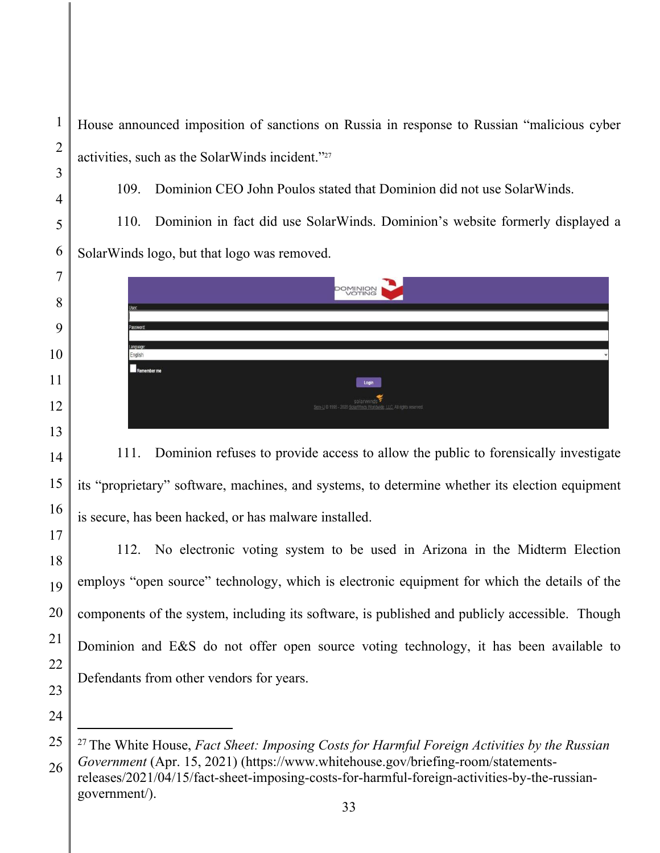House announced imposition of sanctions on Russia in response to Russian "malicious cyber activities, such as the SolarWinds incident."27

109. Dominion CEO John Poulos stated that Dominion did not use SolarWinds.

110. Dominion in fact did use SolarWinds. Dominion's website formerly displayed a SolarWinds logo, but that logo was removed.

|                      | <b>POMINION</b>                 |  |
|----------------------|---------------------------------|--|
| User:                |                                 |  |
| Password:            |                                 |  |
| Language:<br>English |                                 |  |
| Remember me          | Login                           |  |
|                      | Sen-U © 1995 - 2020 Solar Winds |  |
|                      |                                 |  |

111. Dominion refuses to provide access to allow the public to forensically investigate its "proprietary" software, machines, and systems, to determine whether its election equipment is secure, has been hacked, or has malware installed.

112. No electronic voting system to be used in Arizona in the Midterm Election employs "open source" technology, which is electronic equipment for which the details of the components of the system, including its software, is published and publicly accessible. Though Dominion and E&S do not offer open source voting technology, it has been available to Defendants from other vendors for years.

government/).

<sup>27</sup> The White House, *Fact Sheet: Imposing Costs for Harmful Foreign Activities by the Russian Government* (Apr. 15, 2021) (https://www.whitehouse.gov/briefing-room/statementsreleases/2021/04/15/fact-sheet-imposing-costs-for-harmful-foreign-activities-by-the-russian-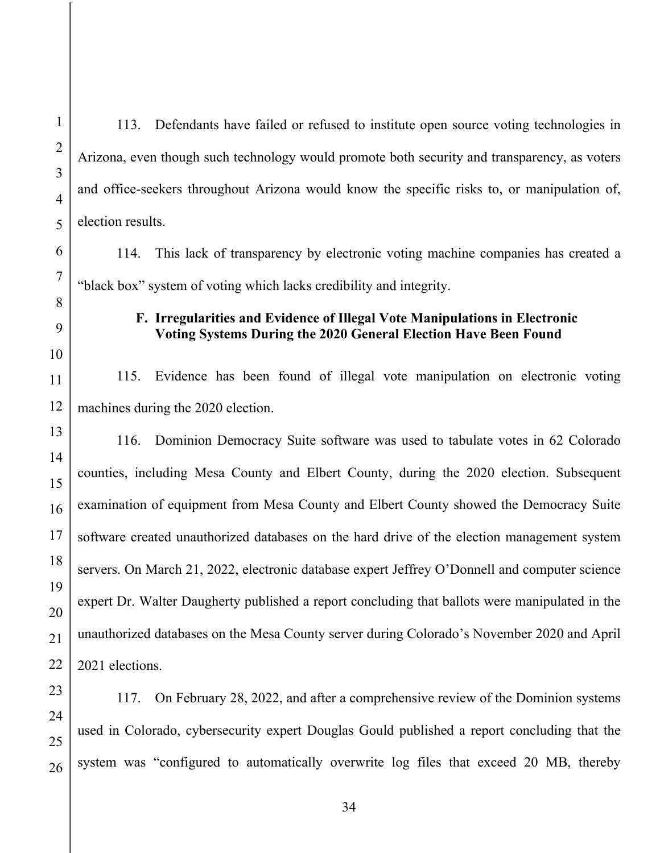113. Defendants have failed or refused to institute open source voting technologies in Arizona, even though such technology would promote both security and transparency, as voters and office-seekers throughout Arizona would know the specific risks to, or manipulation of, election results.

114. This lack of transparency by electronic voting machine companies has created a "black box" system of voting which lacks credibility and integrity.

## **F. Irregularities and Evidence of Illegal Vote Manipulations in Electronic Voting Systems During the 2020 General Election Have Been Found**

115. Evidence has been found of illegal vote manipulation on electronic voting machines during the 2020 election.

116. Dominion Democracy Suite software was used to tabulate votes in 62 Colorado counties, including Mesa County and Elbert County, during the 2020 election. Subsequent examination of equipment from Mesa County and Elbert County showed the Democracy Suite software created unauthorized databases on the hard drive of the election management system servers. On March 21, 2022, electronic database expert Jeffrey O'Donnell and computer science expert Dr. Walter Daugherty published a report concluding that ballots were manipulated in the unauthorized databases on the Mesa County server during Colorado's November 2020 and April 2021 elections.

117. On February 28, 2022, and after a comprehensive review of the Dominion systems used in Colorado, cybersecurity expert Douglas Gould published a report concluding that the system was "configured to automatically overwrite log files that exceed 20 MB, thereby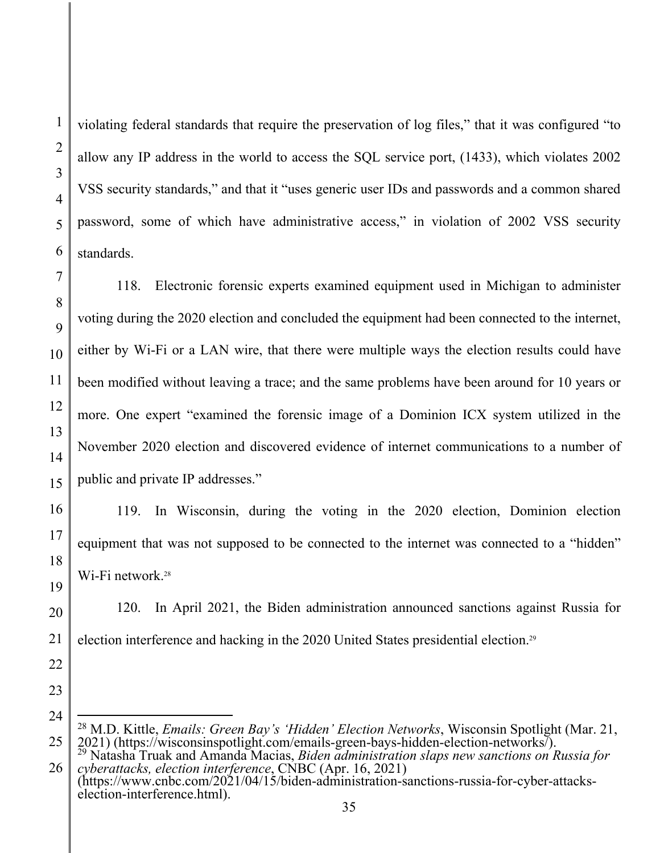violating federal standards that require the preservation of log files," that it was configured "to allow any IP address in the world to access the SQL service port, (1433), which violates 2002 VSS security standards," and that it "uses generic user IDs and passwords and a common shared password, some of which have administrative access," in violation of 2002 VSS security standards.

118. Electronic forensic experts examined equipment used in Michigan to administer voting during the 2020 election and concluded the equipment had been connected to the internet, either by Wi-Fi or a LAN wire, that there were multiple ways the election results could have been modified without leaving a trace; and the same problems have been around for 10 years or more. One expert "examined the forensic image of a Dominion ICX system utilized in the November 2020 election and discovered evidence of internet communications to a number of public and private IP addresses."

119. In Wisconsin, during the voting in the 2020 election, Dominion election equipment that was not supposed to be connected to the internet was connected to a "hidden" Wi-Fi network.<sup>28</sup>

120. In April 2021, the Biden administration announced sanctions against Russia for election interference and hacking in the 2020 United States presidential election.29

<sup>&</sup>lt;sup>28</sup> M.D. Kittle, *Emails: Green Bay's 'Hidden' Election Networks*, Wisconsin Spotlight (Mar. 21, 2021) (https://wisconsinspotlight.com/emails-green-bays-hidden-election-networks/). 2021) (https://wisconsinspotlight.com/emails-green-bays-hidden-election-networks/).<br><sup>29</sup> Natasha Truak and Amanda Macias, *Biden administration slaps new sanctions on Russia for* 

*cyberattacks, election interference*, CNBC (Apr. 16, 2021) (https://www.cnbc.com/2021/04/15/biden-administration-sanctions-russia-for-cyber-attacks-

election-interference.html).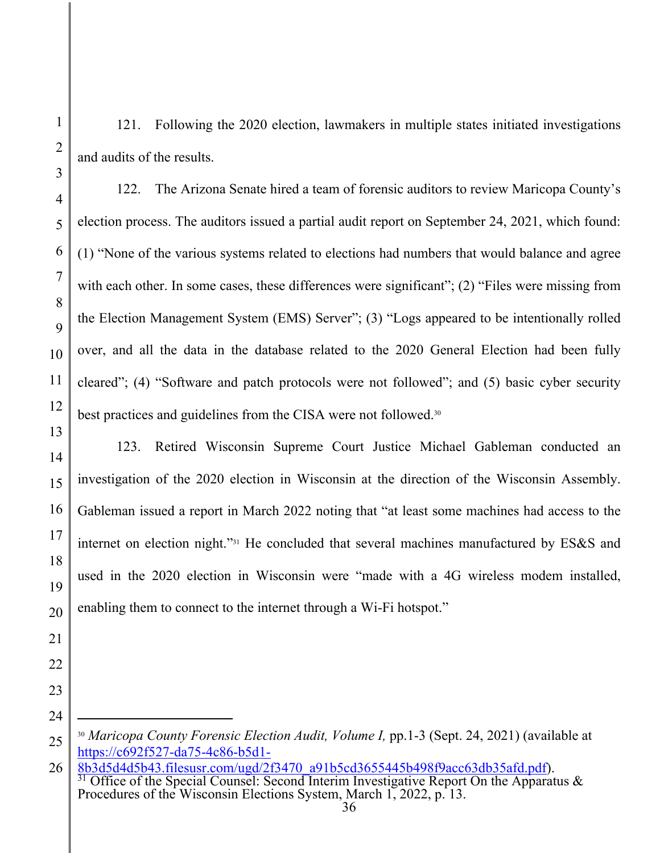2

3

121. Following the 2020 election, lawmakers in multiple states initiated investigations and audits of the results.

122. The Arizona Senate hired a team of forensic auditors to review Maricopa County's election process. The auditors issued a partial audit report on September 24, 2021, which found: (1) "None of the various systems related to elections had numbers that would balance and agree with each other. In some cases, these differences were significant"; (2) "Files were missing from the Election Management System (EMS) Server"; (3) "Logs appeared to be intentionally rolled over, and all the data in the database related to the 2020 General Election had been fully cleared"; (4) "Software and patch protocols were not followed"; and (5) basic cyber security best practices and guidelines from the CISA were not followed.30

123. Retired Wisconsin Supreme Court Justice Michael Gableman conducted an investigation of the 2020 election in Wisconsin at the direction of the Wisconsin Assembly. Gableman issued a report in March 2022 noting that "at least some machines had access to the internet on election night."31 He concluded that several machines manufactured by ES&S and used in the 2020 election in Wisconsin were "made with a 4G wireless modem installed, enabling them to connect to the internet through a Wi-Fi hotspot."

<sup>25</sup>  <sup>30</sup> *Maricopa County Forensic Election Audit, Volume I,* pp.1-3 (Sept. 24, 2021) (available at https://c692f527-da75-4c86-b5d1-

<sup>26</sup>  8b3d5d4d5b43.filesusr.com/ugd/2f3470\_a91b5cd3655445b498f9acc63db35afd.pdf). 31 Office of the Special Counsel: Second Interim Investigative Report On the Apparatus & Procedures of the Wisconsin Elections System, March 1, 2022, p. 13.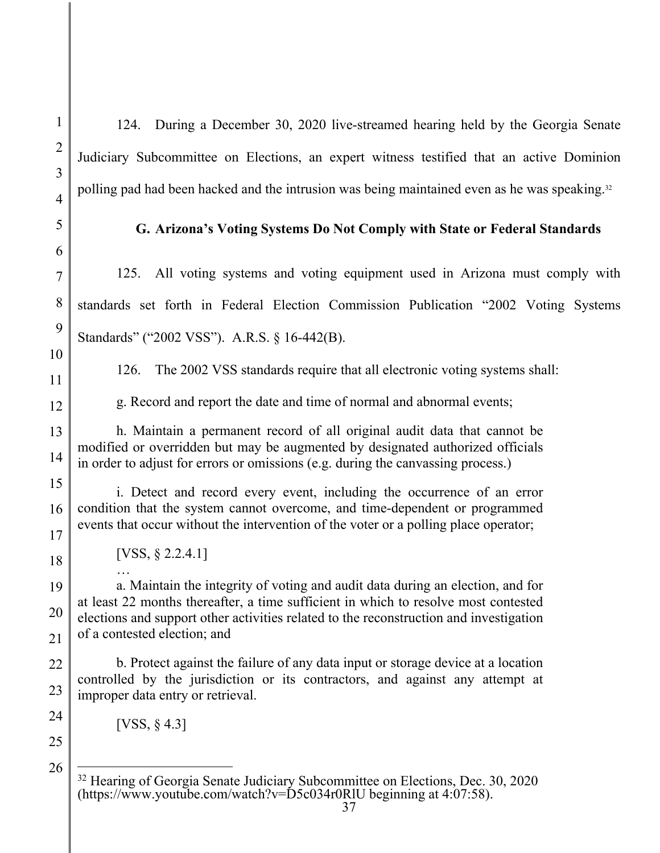124. During a December 30, 2020 live-streamed hearing held by the Georgia Senate Judiciary Subcommittee on Elections, an expert witness testified that an active Dominion polling pad had been hacked and the intrusion was being maintained even as he was speaking.<sup>32</sup>

### **G. Arizona's Voting Systems Do Not Comply with State or Federal Standards**

125. All voting systems and voting equipment used in Arizona must comply with standards set forth in Federal Election Commission Publication "2002 Voting Systems Standards" ("2002 VSS"). A.R.S. § 16-442(B).

126. The 2002 VSS standards require that all electronic voting systems shall:

g. Record and report the date and time of normal and abnormal events;

h. Maintain a permanent record of all original audit data that cannot be modified or overridden but may be augmented by designated authorized officials in order to adjust for errors or omissions (e.g. during the canvassing process.)

i. Detect and record every event, including the occurrence of an error condition that the system cannot overcome, and time-dependent or programmed events that occur without the intervention of the voter or a polling place operator;

[VSS, § 2.2.4.1]

…

a. Maintain the integrity of voting and audit data during an election, and for at least 22 months thereafter, a time sufficient in which to resolve most contested elections and support other activities related to the reconstruction and investigation of a contested election; and

b. Protect against the failure of any data input or storage device at a location controlled by the jurisdiction or its contractors, and against any attempt at improper data entry or retrieval.

[VSS, § 4.3]

<sup>&</sup>lt;sup>32</sup> Hearing of Georgia Senate Judiciary Subcommittee on Elections, Dec. 30, 2020 (https://www.youtube.com/watch?v= $\text{D}5c034r0\text{R}$ lU beginning at 4:07:58).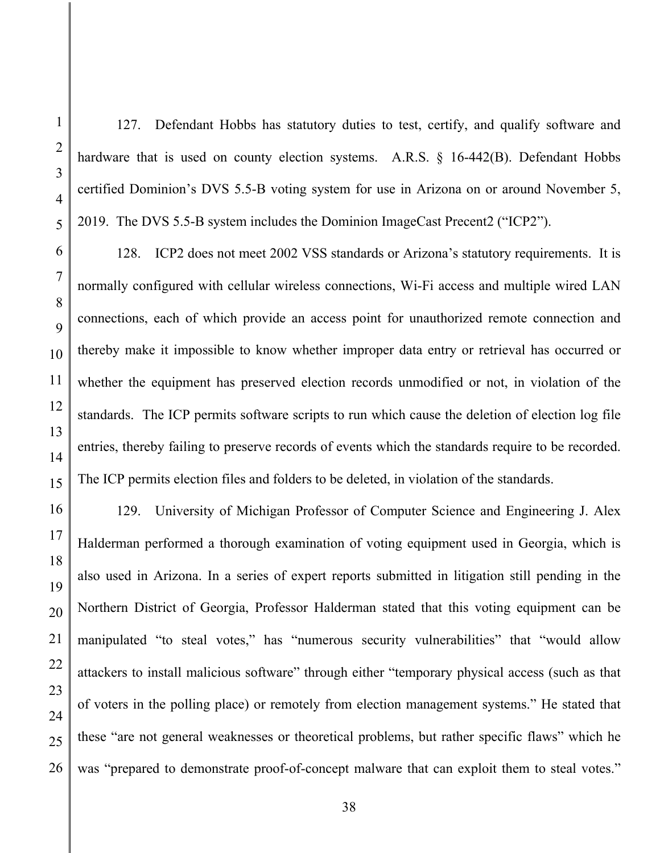127. Defendant Hobbs has statutory duties to test, certify, and qualify software and hardware that is used on county election systems. A.R.S. § 16-442(B). Defendant Hobbs certified Dominion's DVS 5.5-B voting system for use in Arizona on or around November 5, 2019. The DVS 5.5-B system includes the Dominion ImageCast Precent2 ("ICP2").

128. ICP2 does not meet 2002 VSS standards or Arizona's statutory requirements. It is normally configured with cellular wireless connections, Wi-Fi access and multiple wired LAN connections, each of which provide an access point for unauthorized remote connection and thereby make it impossible to know whether improper data entry or retrieval has occurred or whether the equipment has preserved election records unmodified or not, in violation of the standards. The ICP permits software scripts to run which cause the deletion of election log file entries, thereby failing to preserve records of events which the standards require to be recorded. The ICP permits election files and folders to be deleted, in violation of the standards.

129. University of Michigan Professor of Computer Science and Engineering J. Alex Halderman performed a thorough examination of voting equipment used in Georgia, which is also used in Arizona. In a series of expert reports submitted in litigation still pending in the Northern District of Georgia, Professor Halderman stated that this voting equipment can be manipulated "to steal votes," has "numerous security vulnerabilities" that "would allow attackers to install malicious software" through either "temporary physical access (such as that of voters in the polling place) or remotely from election management systems." He stated that these "are not general weaknesses or theoretical problems, but rather specific flaws" which he was "prepared to demonstrate proof-of-concept malware that can exploit them to steal votes."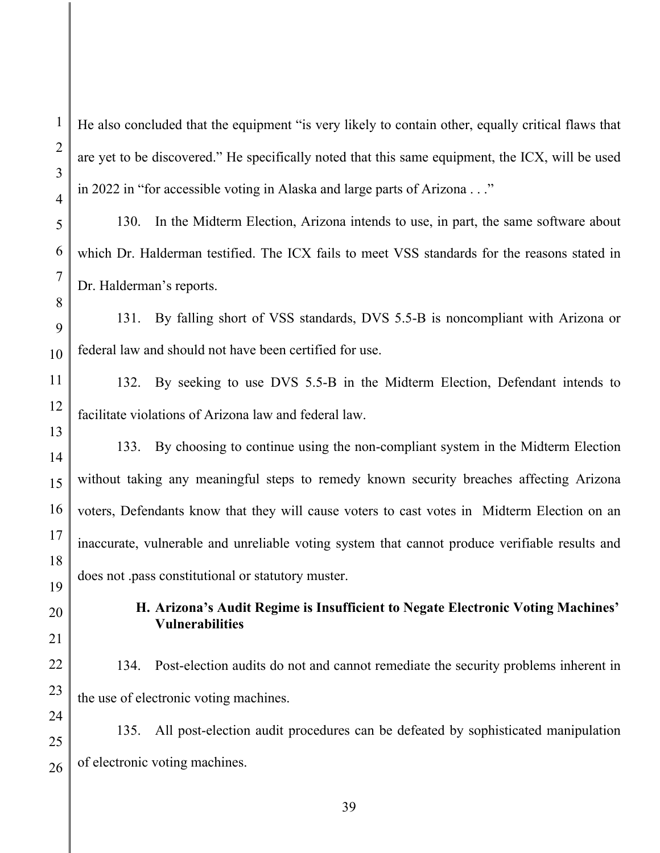2

3

4

He also concluded that the equipment "is very likely to contain other, equally critical flaws that are yet to be discovered." He specifically noted that this same equipment, the ICX, will be used in 2022 in "for accessible voting in Alaska and large parts of Arizona . . ."

130. In the Midterm Election, Arizona intends to use, in part, the same software about which Dr. Halderman testified. The ICX fails to meet VSS standards for the reasons stated in Dr. Halderman's reports.

131. By falling short of VSS standards, DVS 5.5-B is noncompliant with Arizona or federal law and should not have been certified for use.

132. By seeking to use DVS 5.5-B in the Midterm Election, Defendant intends to facilitate violations of Arizona law and federal law.

133. By choosing to continue using the non-compliant system in the Midterm Election without taking any meaningful steps to remedy known security breaches affecting Arizona voters, Defendants know that they will cause voters to cast votes in Midterm Election on an inaccurate, vulnerable and unreliable voting system that cannot produce verifiable results and does not .pass constitutional or statutory muster.

> **H. Arizona's Audit Regime is Insufficient to Negate Electronic Voting Machines' Vulnerabilities**

134. Post-election audits do not and cannot remediate the security problems inherent in the use of electronic voting machines.

135. All post-election audit procedures can be defeated by sophisticated manipulation of electronic voting machines.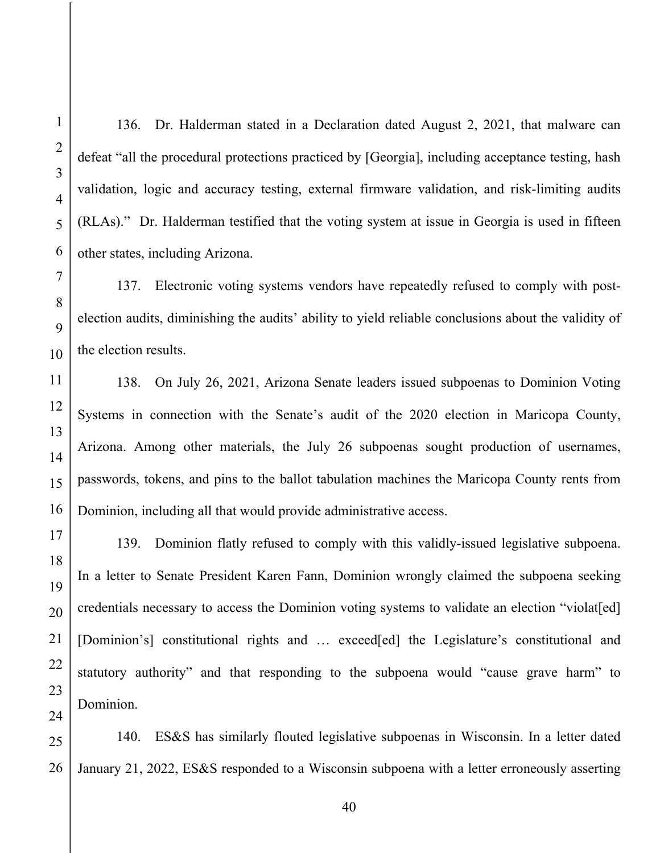136. Dr. Halderman stated in a Declaration dated August 2, 2021, that malware can defeat "all the procedural protections practiced by [Georgia], including acceptance testing, hash validation, logic and accuracy testing, external firmware validation, and risk-limiting audits (RLAs)." Dr. Halderman testified that the voting system at issue in Georgia is used in fifteen other states, including Arizona.

137. Electronic voting systems vendors have repeatedly refused to comply with postelection audits, diminishing the audits' ability to yield reliable conclusions about the validity of the election results.

138. On July 26, 2021, Arizona Senate leaders issued subpoenas to Dominion Voting Systems in connection with the Senate's audit of the 2020 election in Maricopa County, Arizona. Among other materials, the July 26 subpoenas sought production of usernames, passwords, tokens, and pins to the ballot tabulation machines the Maricopa County rents from Dominion, including all that would provide administrative access.

139. Dominion flatly refused to comply with this validly-issued legislative subpoena. In a letter to Senate President Karen Fann, Dominion wrongly claimed the subpoena seeking credentials necessary to access the Dominion voting systems to validate an election "violat[ed] [Dominion's] constitutional rights and ... exceed[ed] the Legislature's constitutional and statutory authority" and that responding to the subpoena would "cause grave harm" to Dominion.

140. ES&S has similarly flouted legislative subpoenas in Wisconsin. In a letter dated January 21, 2022, ES&S responded to a Wisconsin subpoena with a letter erroneously asserting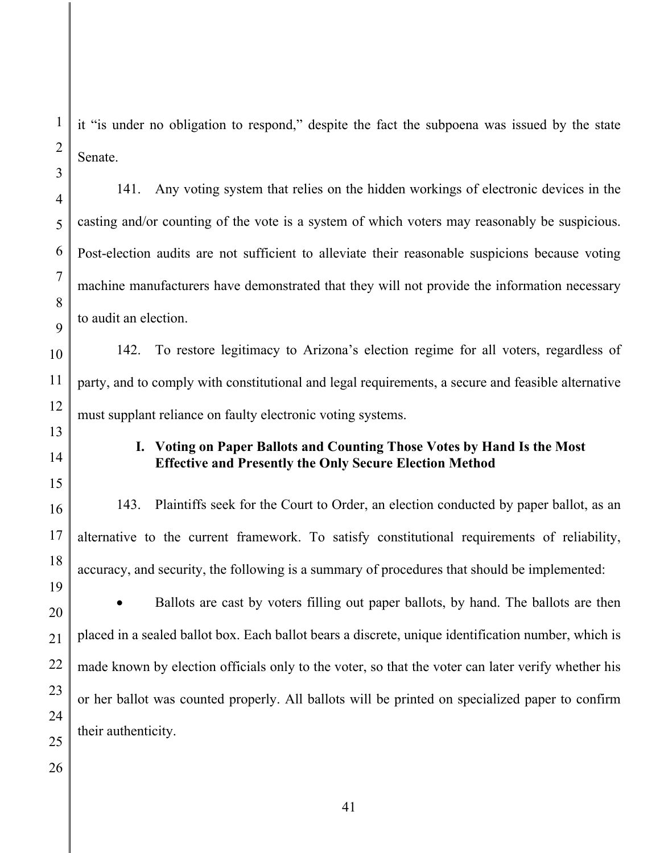it "is under no obligation to respond," despite the fact the subpoena was issued by the state Senate.

141. Any voting system that relies on the hidden workings of electronic devices in the casting and/or counting of the vote is a system of which voters may reasonably be suspicious. Post-election audits are not sufficient to alleviate their reasonable suspicions because voting machine manufacturers have demonstrated that they will not provide the information necessary to audit an election.

142. To restore legitimacy to Arizona's election regime for all voters, regardless of party, and to comply with constitutional and legal requirements, a secure and feasible alternative must supplant reliance on faulty electronic voting systems.

# **I. Voting on Paper Ballots and Counting Those Votes by Hand Is the Most Effective and Presently the Only Secure Election Method**

143. Plaintiffs seek for the Court to Order, an election conducted by paper ballot, as an alternative to the current framework. To satisfy constitutional requirements of reliability, accuracy, and security, the following is a summary of procedures that should be implemented:

• Ballots are cast by voters filling out paper ballots, by hand. The ballots are then placed in a sealed ballot box. Each ballot bears a discrete, unique identification number, which is made known by election officials only to the voter, so that the voter can later verify whether his or her ballot was counted properly. All ballots will be printed on specialized paper to confirm their authenticity.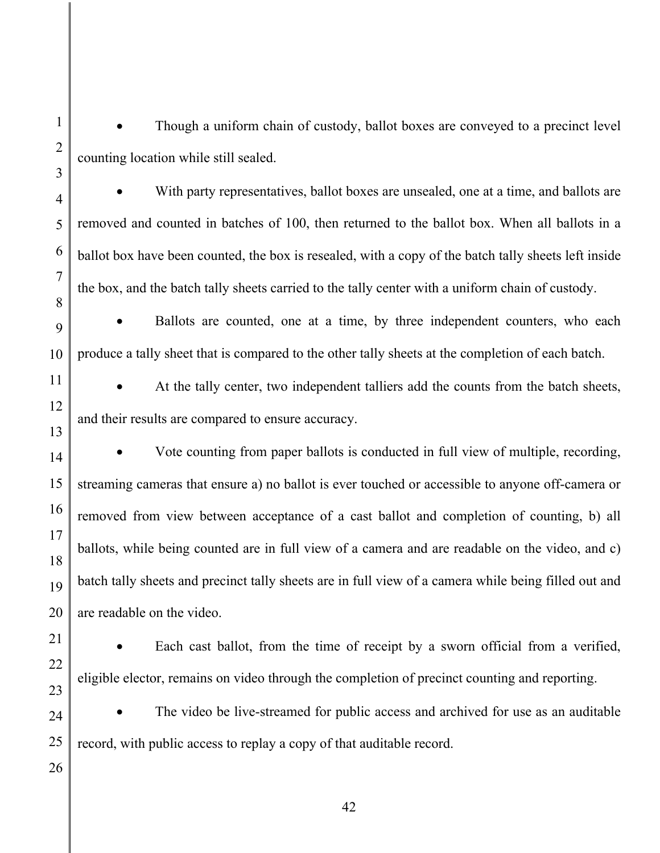1

• Though a uniform chain of custody, ballot boxes are conveyed to a precinct level counting location while still sealed.

 With party representatives, ballot boxes are unsealed, one at a time, and ballots are removed and counted in batches of 100, then returned to the ballot box. When all ballots in a ballot box have been counted, the box is resealed, with a copy of the batch tally sheets left inside the box, and the batch tally sheets carried to the tally center with a uniform chain of custody.

 Ballots are counted, one at a time, by three independent counters, who each produce a tally sheet that is compared to the other tally sheets at the completion of each batch.

 At the tally center, two independent talliers add the counts from the batch sheets, and their results are compared to ensure accuracy.

 Vote counting from paper ballots is conducted in full view of multiple, recording, streaming cameras that ensure a) no ballot is ever touched or accessible to anyone off-camera or removed from view between acceptance of a cast ballot and completion of counting, b) all ballots, while being counted are in full view of a camera and are readable on the video, and c) batch tally sheets and precinct tally sheets are in full view of a camera while being filled out and are readable on the video.

 Each cast ballot, from the time of receipt by a sworn official from a verified, eligible elector, remains on video through the completion of precinct counting and reporting.

 The video be live-streamed for public access and archived for use as an auditable record, with public access to replay a copy of that auditable record.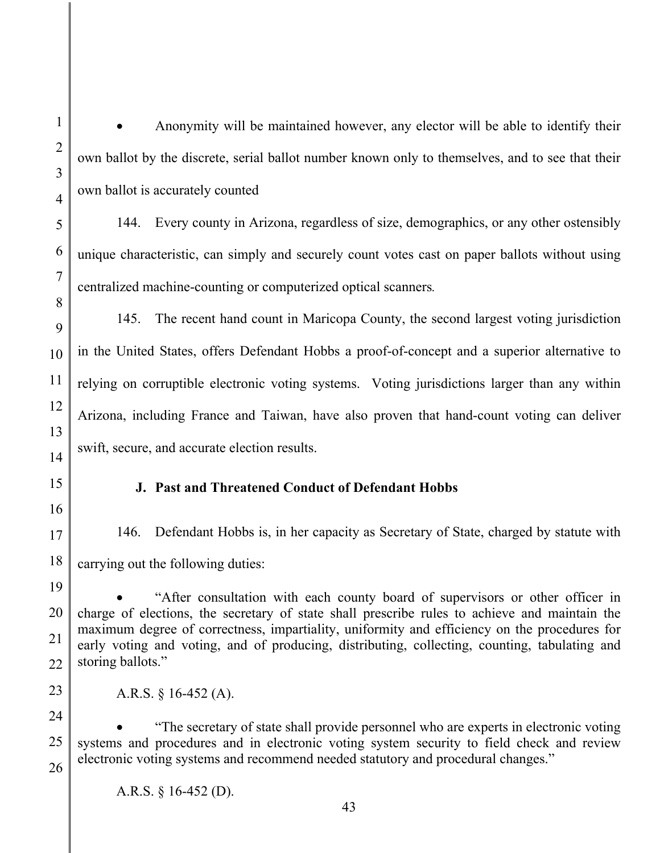Anonymity will be maintained however, any elector will be able to identify their own ballot by the discrete, serial ballot number known only to themselves, and to see that their own ballot is accurately counted

144. Every county in Arizona, regardless of size, demographics, or any other ostensibly unique characteristic, can simply and securely count votes cast on paper ballots without using centralized machine-counting or computerized optical scanners*.*

145. The recent hand count in Maricopa County, the second largest voting jurisdiction in the United States, offers Defendant Hobbs a proof-of-concept and a superior alternative to relying on corruptible electronic voting systems. Voting jurisdictions larger than any within Arizona, including France and Taiwan, have also proven that hand-count voting can deliver swift, secure, and accurate election results.

### **J. Past and Threatened Conduct of Defendant Hobbs**

146. Defendant Hobbs is, in her capacity as Secretary of State, charged by statute with carrying out the following duties:

 "After consultation with each county board of supervisors or other officer in charge of elections, the secretary of state shall prescribe rules to achieve and maintain the maximum degree of correctness, impartiality, uniformity and efficiency on the procedures for early voting and voting, and of producing, distributing, collecting, counting, tabulating and storing ballots."

A.R.S. § 16-452 (A).

 "The secretary of state shall provide personnel who are experts in electronic voting systems and procedures and in electronic voting system security to field check and review electronic voting systems and recommend needed statutory and procedural changes."

A.R.S. § 16-452 (D).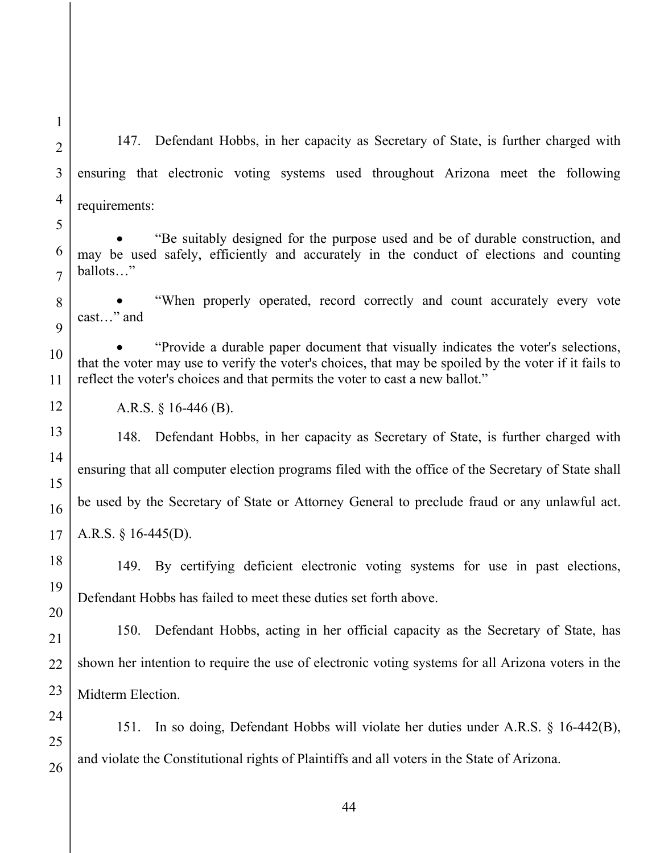147. Defendant Hobbs, in her capacity as Secretary of State, is further charged with ensuring that electronic voting systems used throughout Arizona meet the following requirements:

 "Be suitably designed for the purpose used and be of durable construction, and may be used safely, efficiently and accurately in the conduct of elections and counting ballots…"

 "When properly operated, record correctly and count accurately every vote cast…" and

 "Provide a durable paper document that visually indicates the voter's selections, that the voter may use to verify the voter's choices, that may be spoiled by the voter if it fails to reflect the voter's choices and that permits the voter to cast a new ballot."

A.R.S. § 16-446 (B).

148. Defendant Hobbs, in her capacity as Secretary of State, is further charged with ensuring that all computer election programs filed with the office of the Secretary of State shall be used by the Secretary of State or Attorney General to preclude fraud or any unlawful act. A.R.S. § 16-445(D).

149. By certifying deficient electronic voting systems for use in past elections, Defendant Hobbs has failed to meet these duties set forth above.

150. Defendant Hobbs, acting in her official capacity as the Secretary of State, has shown her intention to require the use of electronic voting systems for all Arizona voters in the Midterm Election.

151. In so doing, Defendant Hobbs will violate her duties under A.R.S. § 16-442(B), and violate the Constitutional rights of Plaintiffs and all voters in the State of Arizona.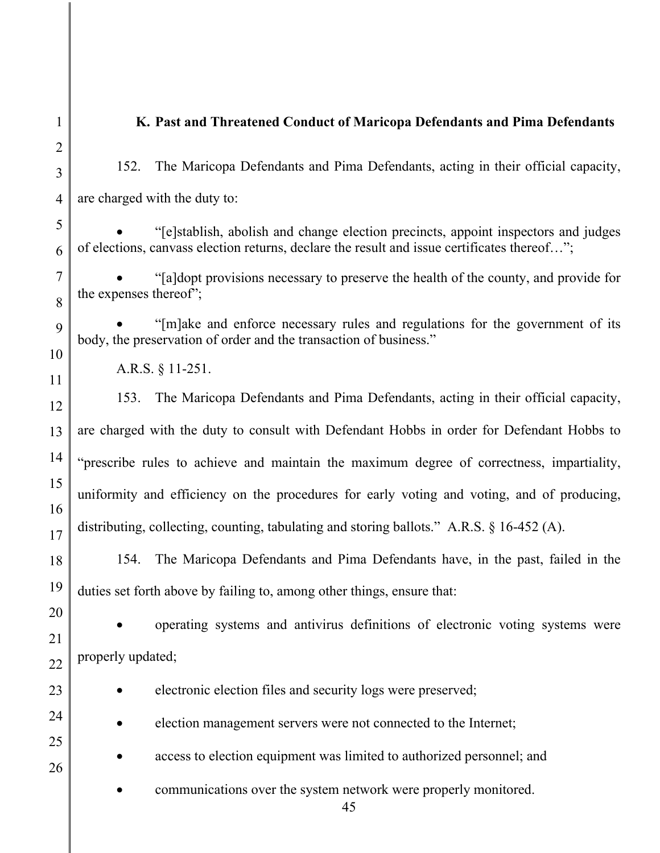### **K. Past and Threatened Conduct of Maricopa Defendants and Pima Defendants**

152. The Maricopa Defendants and Pima Defendants, acting in their official capacity, are charged with the duty to:

 "[e]stablish, abolish and change election precincts, appoint inspectors and judges of elections, canvass election returns, declare the result and issue certificates thereof…";

 "[a]dopt provisions necessary to preserve the health of the county, and provide for the expenses thereof";

 "[m]ake and enforce necessary rules and regulations for the government of its body, the preservation of order and the transaction of business."

A.R.S. § 11-251.

153. The Maricopa Defendants and Pima Defendants, acting in their official capacity, are charged with the duty to consult with Defendant Hobbs in order for Defendant Hobbs to "prescribe rules to achieve and maintain the maximum degree of correctness, impartiality, uniformity and efficiency on the procedures for early voting and voting, and of producing, distributing, collecting, counting, tabulating and storing ballots." A.R.S. § 16-452 (A).

154. The Maricopa Defendants and Pima Defendants have, in the past, failed in the duties set forth above by failing to, among other things, ensure that:

 operating systems and antivirus definitions of electronic voting systems were properly updated;

electronic election files and security logs were preserved;

election management servers were not connected to the Internet;

- access to election equipment was limited to authorized personnel; and
- communications over the system network were properly monitored.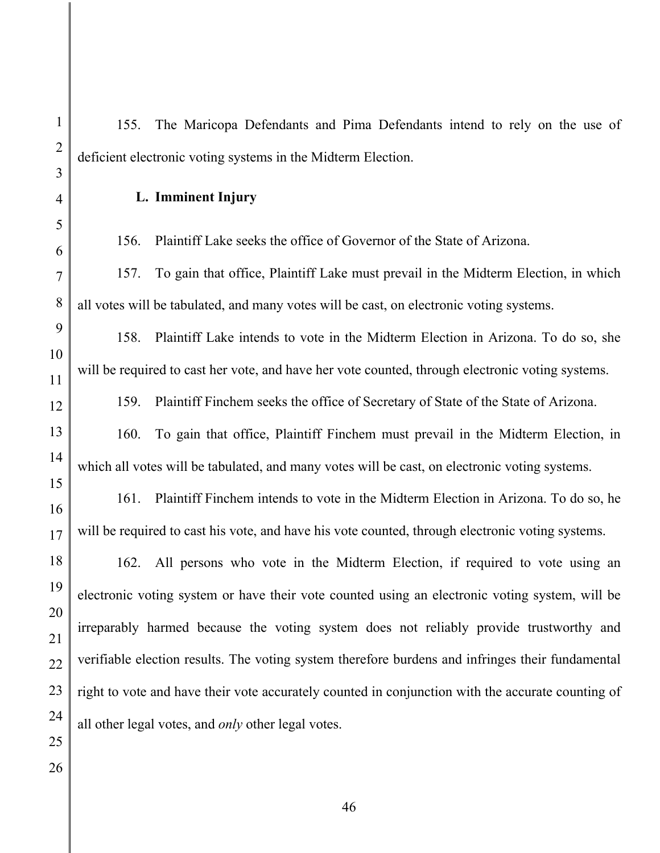155. The Maricopa Defendants and Pima Defendants intend to rely on the use of deficient electronic voting systems in the Midterm Election.

**L. Imminent Injury** 

156. Plaintiff Lake seeks the office of Governor of the State of Arizona.

157. To gain that office, Plaintiff Lake must prevail in the Midterm Election, in which all votes will be tabulated, and many votes will be cast, on electronic voting systems.

158. Plaintiff Lake intends to vote in the Midterm Election in Arizona. To do so, she will be required to cast her vote, and have her vote counted, through electronic voting systems.

159. Plaintiff Finchem seeks the office of Secretary of State of the State of Arizona.

160. To gain that office, Plaintiff Finchem must prevail in the Midterm Election, in which all votes will be tabulated, and many votes will be cast, on electronic voting systems.

161. Plaintiff Finchem intends to vote in the Midterm Election in Arizona. To do so, he will be required to cast his vote, and have his vote counted, through electronic voting systems.

162. All persons who vote in the Midterm Election, if required to vote using an electronic voting system or have their vote counted using an electronic voting system, will be irreparably harmed because the voting system does not reliably provide trustworthy and verifiable election results. The voting system therefore burdens and infringes their fundamental right to vote and have their vote accurately counted in conjunction with the accurate counting of all other legal votes, and *only* other legal votes.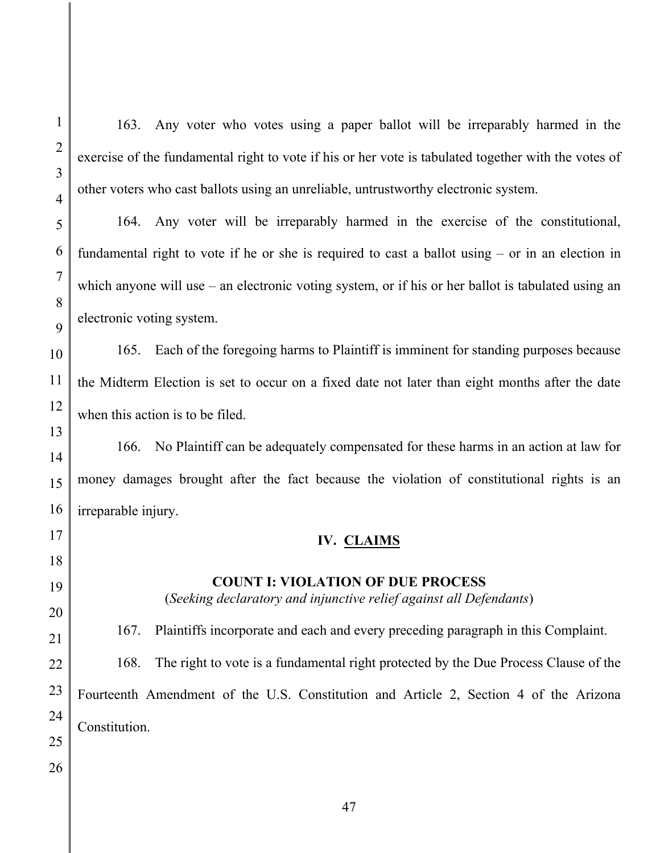163. Any voter who votes using a paper ballot will be irreparably harmed in the exercise of the fundamental right to vote if his or her vote is tabulated together with the votes of other voters who cast ballots using an unreliable, untrustworthy electronic system.

164. Any voter will be irreparably harmed in the exercise of the constitutional, fundamental right to vote if he or she is required to cast a ballot using – or in an election in which anyone will use – an electronic voting system, or if his or her ballot is tabulated using an electronic voting system.

165. Each of the foregoing harms to Plaintiff is imminent for standing purposes because the Midterm Election is set to occur on a fixed date not later than eight months after the date when this action is to be filed.

166. No Plaintiff can be adequately compensated for these harms in an action at law for money damages brought after the fact because the violation of constitutional rights is an irreparable injury.

### **IV. CLAIMS**

## **COUNT I: VIOLATION OF DUE PROCESS**

(*Seeking declaratory and injunctive relief against all Defendants*)

167. Plaintiffs incorporate and each and every preceding paragraph in this Complaint. 168. The right to vote is a fundamental right protected by the Due Process Clause of the Fourteenth Amendment of the U.S. Constitution and Article 2, Section 4 of the Arizona Constitution.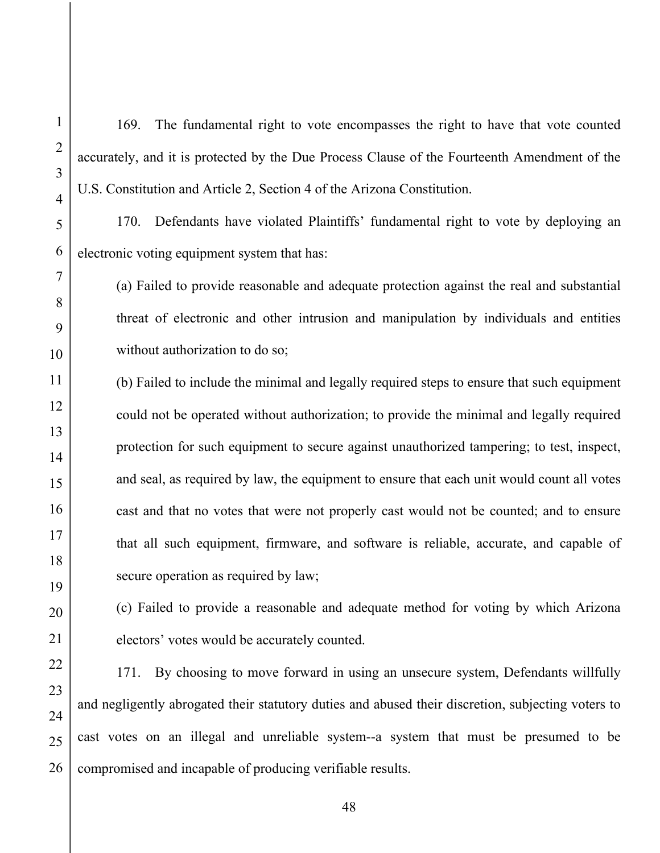169. The fundamental right to vote encompasses the right to have that vote counted accurately, and it is protected by the Due Process Clause of the Fourteenth Amendment of the U.S. Constitution and Article 2, Section 4 of the Arizona Constitution.

170. Defendants have violated Plaintiffs' fundamental right to vote by deploying an electronic voting equipment system that has:

(a) Failed to provide reasonable and adequate protection against the real and substantial threat of electronic and other intrusion and manipulation by individuals and entities without authorization to do so;

(b) Failed to include the minimal and legally required steps to ensure that such equipment could not be operated without authorization; to provide the minimal and legally required protection for such equipment to secure against unauthorized tampering; to test, inspect, and seal, as required by law, the equipment to ensure that each unit would count all votes cast and that no votes that were not properly cast would not be counted; and to ensure that all such equipment, firmware, and software is reliable, accurate, and capable of secure operation as required by law;

(c) Failed to provide a reasonable and adequate method for voting by which Arizona electors' votes would be accurately counted.

171. By choosing to move forward in using an unsecure system, Defendants willfully and negligently abrogated their statutory duties and abused their discretion, subjecting voters to cast votes on an illegal and unreliable system--a system that must be presumed to be compromised and incapable of producing verifiable results.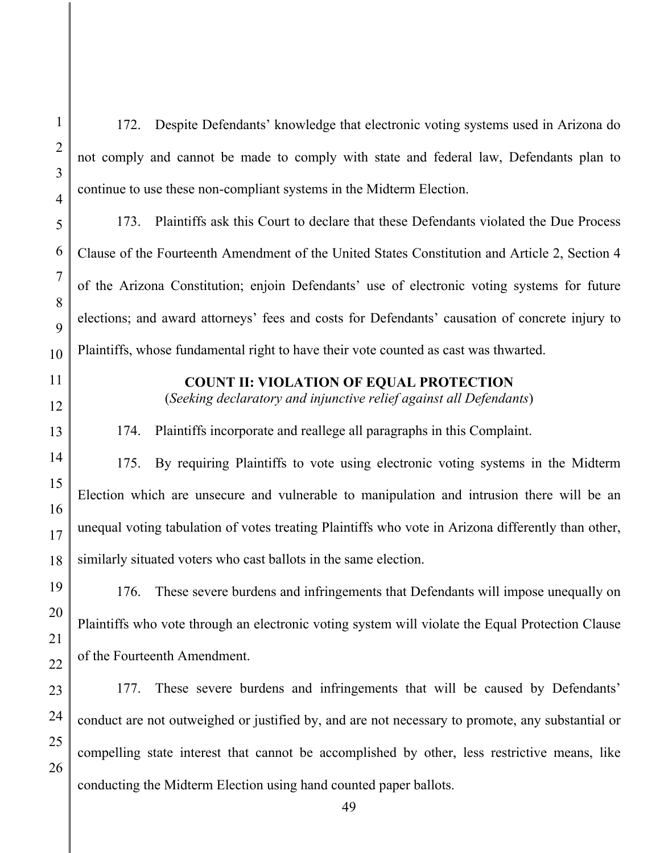49 3 4 5 6 7 8 9 10 11 12 13 14 15 16 17 18 19 20 21 22 23 24 25 26 not comply and cannot be made to comply with state and federal law, Defendants plan to continue to use these non-compliant systems in the Midterm Election. 173. Plaintiffs ask this Court to declare that these Defendants violated the Due Process Clause of the Fourteenth Amendment of the United States Constitution and Article 2, Section 4 of the Arizona Constitution; enjoin Defendants' use of electronic voting systems for future elections; and award attorneys' fees and costs for Defendants' causation of concrete injury to Plaintiffs, whose fundamental right to have their vote counted as cast was thwarted. **COUNT II: VIOLATION OF EQUAL PROTECTION**  (*Seeking declaratory and injunctive relief against all Defendants*) 174. Plaintiffs incorporate and reallege all paragraphs in this Complaint. 175. By requiring Plaintiffs to vote using electronic voting systems in the Midterm Election which are unsecure and vulnerable to manipulation and intrusion there will be an unequal voting tabulation of votes treating Plaintiffs who vote in Arizona differently than other, similarly situated voters who cast ballots in the same election. 176. These severe burdens and infringements that Defendants will impose unequally on Plaintiffs who vote through an electronic voting system will violate the Equal Protection Clause of the Fourteenth Amendment. 177. These severe burdens and infringements that will be caused by Defendants' conduct are not outweighed or justified by, and are not necessary to promote, any substantial or compelling state interest that cannot be accomplished by other, less restrictive means, like conducting the Midterm Election using hand counted paper ballots.

172. Despite Defendants' knowledge that electronic voting systems used in Arizona do

1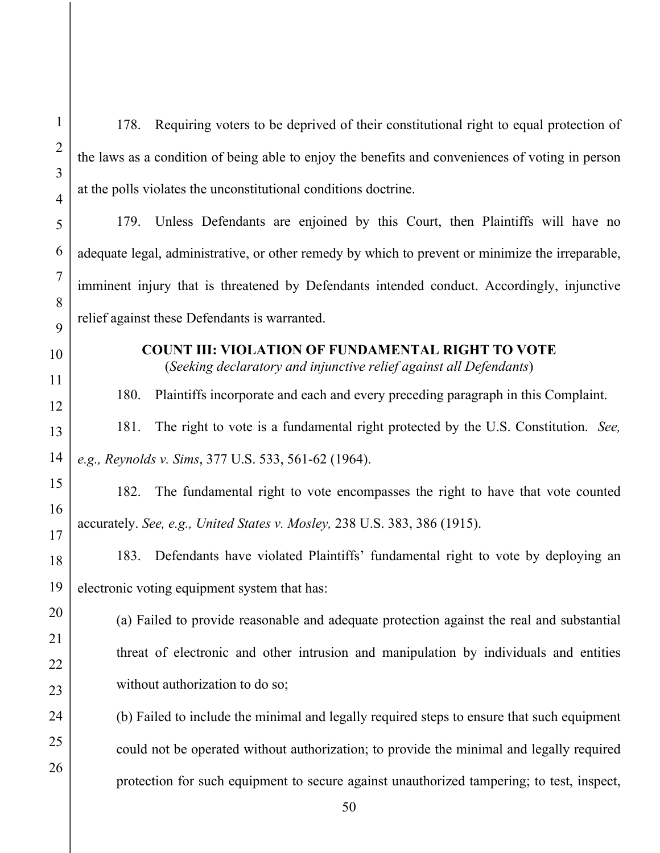| $\mathbf{1}$        | Requiring voters to be deprived of their constitutional right to equal protection of<br>178.                                   |  |  |
|---------------------|--------------------------------------------------------------------------------------------------------------------------------|--|--|
| $\overline{2}$<br>3 | the laws as a condition of being able to enjoy the benefits and conveniences of voting in person                               |  |  |
| $\overline{4}$      | at the polls violates the unconstitutional conditions doctrine.                                                                |  |  |
| 5                   | 179. Unless Defendants are enjoined by this Court, then Plaintiffs will have no                                                |  |  |
| 6                   | adequate legal, administrative, or other remedy by which to prevent or minimize the irreparable,                               |  |  |
| 7                   | imminent injury that is threatened by Defendants intended conduct. Accordingly, injunctive                                     |  |  |
| 8<br>9              | relief against these Defendants is warranted.                                                                                  |  |  |
| 10                  | <b>COUNT III: VIOLATION OF FUNDAMENTAL RIGHT TO VOTE</b><br>(Seeking declaratory and injunctive relief against all Defendants) |  |  |
| 11<br>12            | Plaintiffs incorporate and each and every preceding paragraph in this Complaint.<br>180.                                       |  |  |
| 13                  | The right to vote is a fundamental right protected by the U.S. Constitution. See,<br>181.                                      |  |  |
| 14                  | e.g., Reynolds v. Sims, 377 U.S. 533, 561-62 (1964).                                                                           |  |  |
| 15                  | The fundamental right to vote encompasses the right to have that vote counted<br>182.                                          |  |  |
| 16<br>17            | accurately. See, e.g., United States v. Mosley, 238 U.S. 383, 386 (1915).                                                      |  |  |
| 18                  | Defendants have violated Plaintiffs' fundamental right to vote by deploying an<br>183.                                         |  |  |
| 19                  | electronic voting equipment system that has:                                                                                   |  |  |
| 20                  | (a) Failed to provide reasonable and adequate protection against the real and substantial                                      |  |  |
| 21<br>22            | threat of electronic and other intrusion and manipulation by individuals and entities                                          |  |  |
| 23                  | without authorization to do so;                                                                                                |  |  |
| 24                  | (b) Failed to include the minimal and legally required steps to ensure that such equipment                                     |  |  |
| 25                  | could not be operated without authorization; to provide the minimal and legally required                                       |  |  |
| 26                  | protection for such equipment to secure against unauthorized tampering; to test, inspect,                                      |  |  |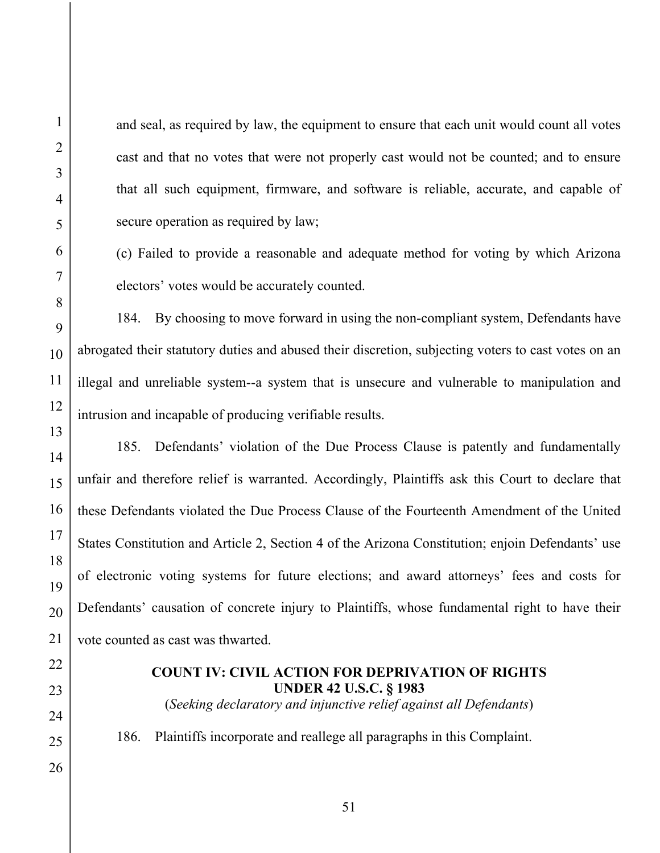and seal, as required by law, the equipment to ensure that each unit would count all votes cast and that no votes that were not properly cast would not be counted; and to ensure that all such equipment, firmware, and software is reliable, accurate, and capable of secure operation as required by law;

(c) Failed to provide a reasonable and adequate method for voting by which Arizona electors' votes would be accurately counted.

184. By choosing to move forward in using the non-compliant system, Defendants have abrogated their statutory duties and abused their discretion, subjecting voters to cast votes on an illegal and unreliable system--a system that is unsecure and vulnerable to manipulation and intrusion and incapable of producing verifiable results.

185. Defendants' violation of the Due Process Clause is patently and fundamentally unfair and therefore relief is warranted. Accordingly, Plaintiffs ask this Court to declare that these Defendants violated the Due Process Clause of the Fourteenth Amendment of the United States Constitution and Article 2, Section 4 of the Arizona Constitution; enjoin Defendants' use of electronic voting systems for future elections; and award attorneys' fees and costs for Defendants' causation of concrete injury to Plaintiffs, whose fundamental right to have their vote counted as cast was thwarted.

#### **COUNT IV: CIVIL ACTION FOR DEPRIVATION OF RIGHTS UNDER 42 U.S.C. § 1983**

(*Seeking declaratory and injunctive relief against all Defendants*)

186. Plaintiffs incorporate and reallege all paragraphs in this Complaint.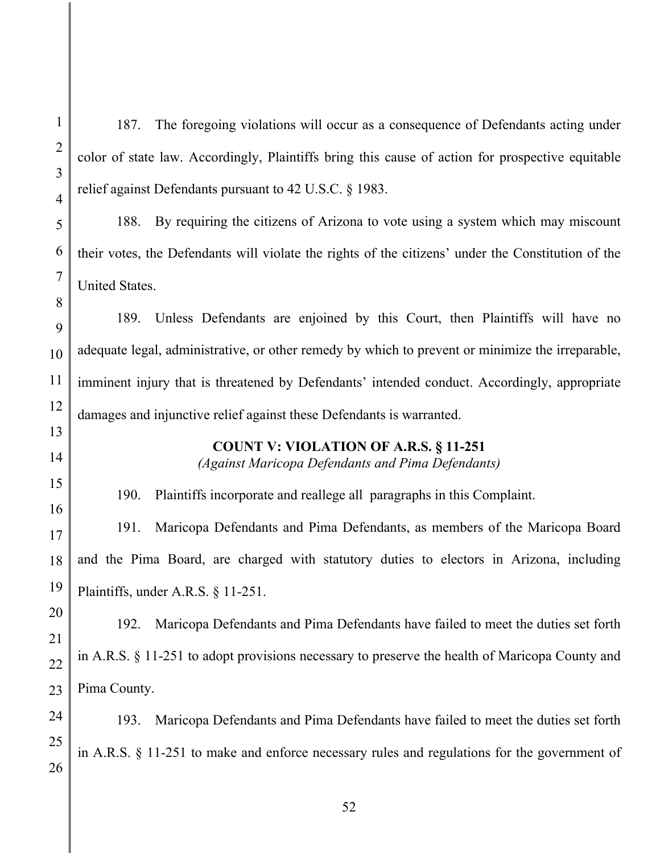187. The foregoing violations will occur as a consequence of Defendants acting under color of state law. Accordingly, Plaintiffs bring this cause of action for prospective equitable relief against Defendants pursuant to 42 U.S.C. § 1983.

188. By requiring the citizens of Arizona to vote using a system which may miscount their votes, the Defendants will violate the rights of the citizens' under the Constitution of the United States.

189. Unless Defendants are enjoined by this Court, then Plaintiffs will have no adequate legal, administrative, or other remedy by which to prevent or minimize the irreparable, imminent injury that is threatened by Defendants' intended conduct. Accordingly, appropriate damages and injunctive relief against these Defendants is warranted.

# **COUNT V: VIOLATION OF A.R.S. § 11-251**

*(Against Maricopa Defendants and Pima Defendants)* 

190. Plaintiffs incorporate and reallege all paragraphs in this Complaint.

191. Maricopa Defendants and Pima Defendants, as members of the Maricopa Board and the Pima Board, are charged with statutory duties to electors in Arizona, including Plaintiffs, under A.R.S. § 11-251.

192. Maricopa Defendants and Pima Defendants have failed to meet the duties set forth in A.R.S. § 11-251 to adopt provisions necessary to preserve the health of Maricopa County and Pima County.

193. Maricopa Defendants and Pima Defendants have failed to meet the duties set forth in A.R.S. § 11-251 to make and enforce necessary rules and regulations for the government of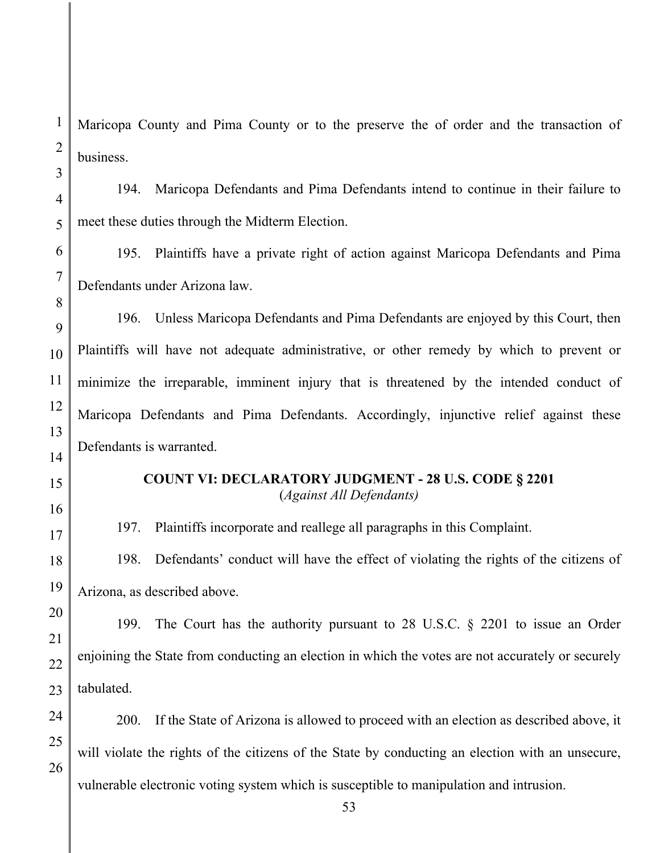Maricopa County and Pima County or to the preserve the of order and the transaction of business.

194. Maricopa Defendants and Pima Defendants intend to continue in their failure to meet these duties through the Midterm Election.

195. Plaintiffs have a private right of action against Maricopa Defendants and Pima Defendants under Arizona law.

196. Unless Maricopa Defendants and Pima Defendants are enjoyed by this Court, then Plaintiffs will have not adequate administrative, or other remedy by which to prevent or minimize the irreparable, imminent injury that is threatened by the intended conduct of Maricopa Defendants and Pima Defendants. Accordingly, injunctive relief against these Defendants is warranted.

### **COUNT VI: DECLARATORY JUDGMENT - 28 U.S. CODE § 2201**  (*Against All Defendants)*

197. Plaintiffs incorporate and reallege all paragraphs in this Complaint.

198. Defendants' conduct will have the effect of violating the rights of the citizens of Arizona, as described above.

199. The Court has the authority pursuant to 28 U.S.C. § 2201 to issue an Order enjoining the State from conducting an election in which the votes are not accurately or securely tabulated.

200. If the State of Arizona is allowed to proceed with an election as described above, it will violate the rights of the citizens of the State by conducting an election with an unsecure, vulnerable electronic voting system which is susceptible to manipulation and intrusion.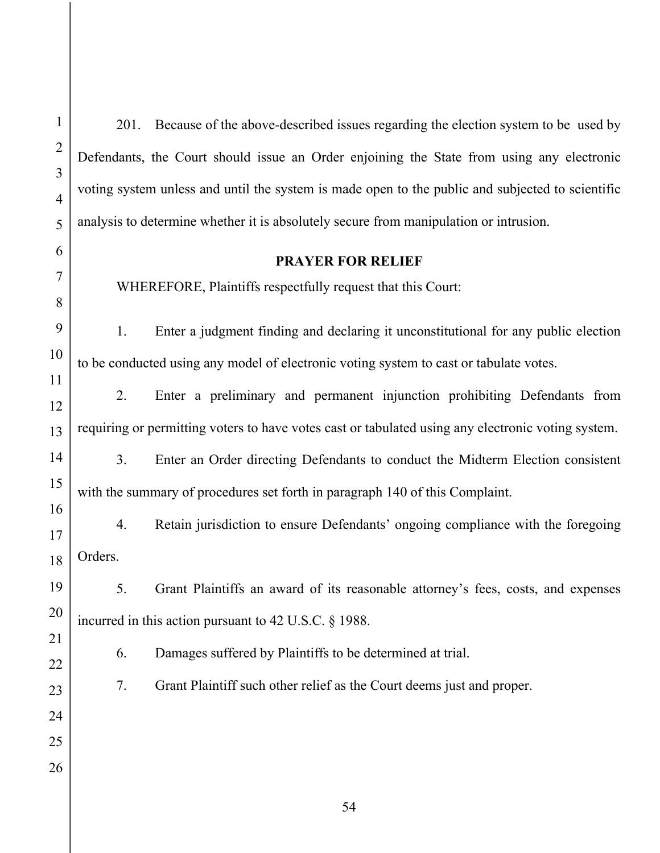201. Because of the above-described issues regarding the election system to be used by Defendants, the Court should issue an Order enjoining the State from using any electronic voting system unless and until the system is made open to the public and subjected to scientific analysis to determine whether it is absolutely secure from manipulation or intrusion.

#### **PRAYER FOR RELIEF**

WHEREFORE, Plaintiffs respectfully request that this Court:

1. Enter a judgment finding and declaring it unconstitutional for any public election to be conducted using any model of electronic voting system to cast or tabulate votes.

2. Enter a preliminary and permanent injunction prohibiting Defendants from requiring or permitting voters to have votes cast or tabulated using any electronic voting system.

3. Enter an Order directing Defendants to conduct the Midterm Election consistent with the summary of procedures set forth in paragraph 140 of this Complaint.

4. Retain jurisdiction to ensure Defendants' ongoing compliance with the foregoing Orders.

5. Grant Plaintiffs an award of its reasonable attorney's fees, costs, and expenses incurred in this action pursuant to 42 U.S.C. § 1988.

6. Damages suffered by Plaintiffs to be determined at trial.

7. Grant Plaintiff such other relief as the Court deems just and proper.